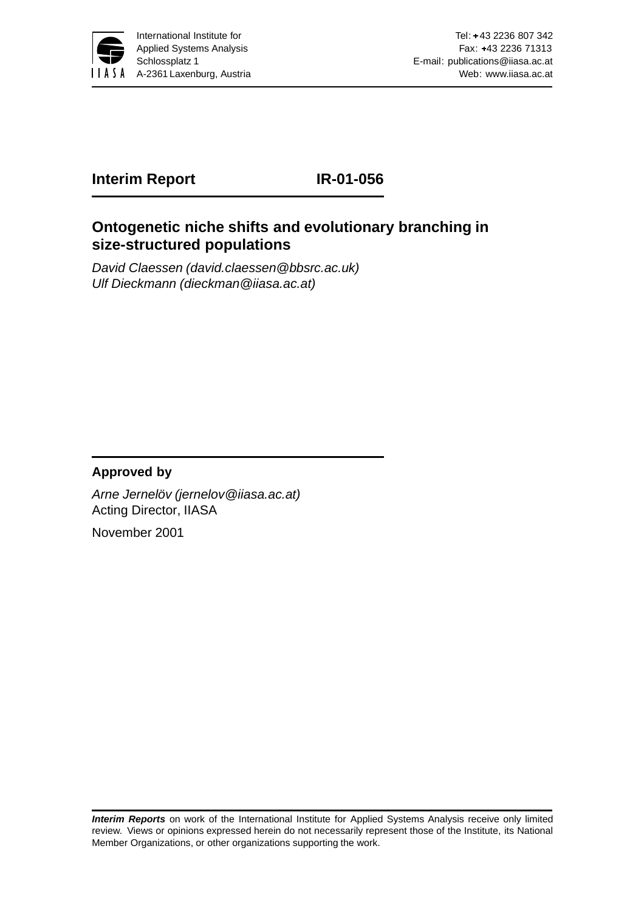

# **Interim Report IR-01-056**

**size-structured populations**

# **Ontogenetic niche shifts and evolutionary branching in**

David Claessen (david.claessen@bbsrc.ac.uk) Ulf Dieckmann (dieckman@iiasa.ac.at)

#### **Approved by**

Arne Jernelöv (jernelov@iiasa.ac.at) Acting Director, IIASA

November 2001

**Interim Reports** on work of the International Institute for Applied Systems Analysis receive only limited review. Views or opinions expressed herein do not necessarily represent those of the Institute, its National Member Organizations, or other organizations supporting the work.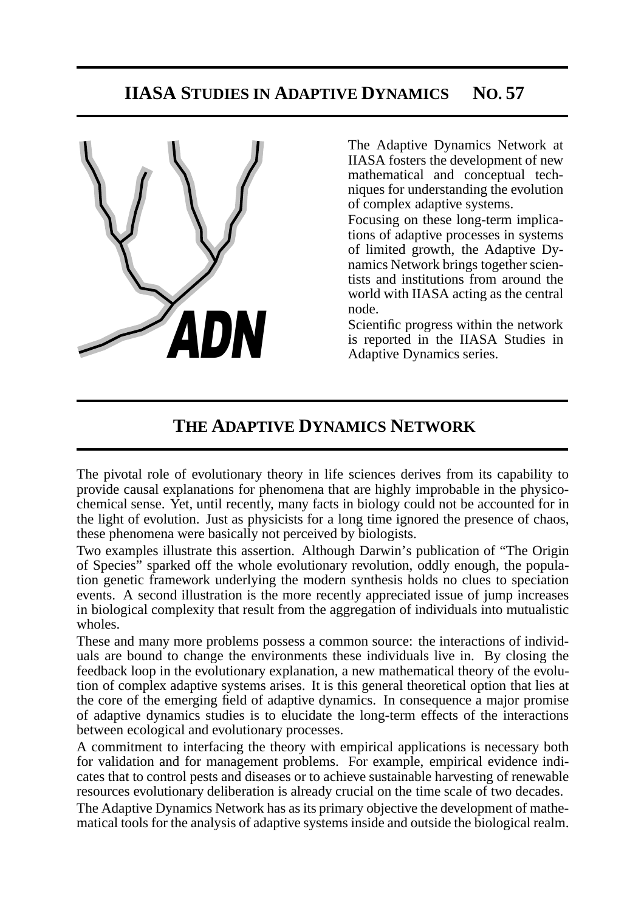# **IIASA STUDIES IN ADAPTIVE DYNAMICS NO. 57**



The Adaptive Dynamics Network at IIASA fosters the development of new mathematical and conceptual techniques for understanding the evolution of complex adaptive systems.

Focusing on these long-term implications of adaptive processes in systems of limited growth, the Adaptive Dynamics Network brings together scientists and institutions from around the world with IIASA acting as the central node.

Scientific progress within the network is reported in the IIASA Studies in Adaptive Dynamics series.

# **THE ADAPTIVE DYNAMICS NETWORK**

The pivotal role of evolutionary theory in life sciences derives from its capability to provide causal explanations for phenomena that are highly improbable in the physicochemical sense. Yet, until recently, many facts in biology could not be accounted for in the light of evolution. Just as physicists for a long time ignored the presence of chaos, these phenomena were basically not perceived by biologists.

Two examples illustrate this assertion. Although Darwin's publication of "The Origin of Species" sparked off the whole evolutionary revolution, oddly enough, the population genetic framework underlying the modern synthesis holds no clues to speciation events. A second illustration is the more recently appreciated issue of jump increases in biological complexity that result from the aggregation of individuals into mutualistic wholes.

These and many more problems possess a common source: the interactions of individuals are bound to change the environments these individuals live in. By closing the feedback loop in the evolutionary explanation, a new mathematical theory of the evolution of complex adaptive systems arises. It is this general theoretical option that lies at the core of the emerging field of adaptive dynamics. In consequence a major promise of adaptive dynamics studies is to elucidate the long-term effects of the interactions between ecological and evolutionary processes.

A commitment to interfacing the theory with empirical applications is necessary both for validation and for management problems. For example, empirical evidence indicates that to control pests and diseases or to achieve sustainable harvesting of renewable resources evolutionary deliberation is already crucial on the time scale of two decades.

The Adaptive Dynamics Network has as its primary objective the development of mathematical tools for the analysis of adaptive systems inside and outside the biological realm.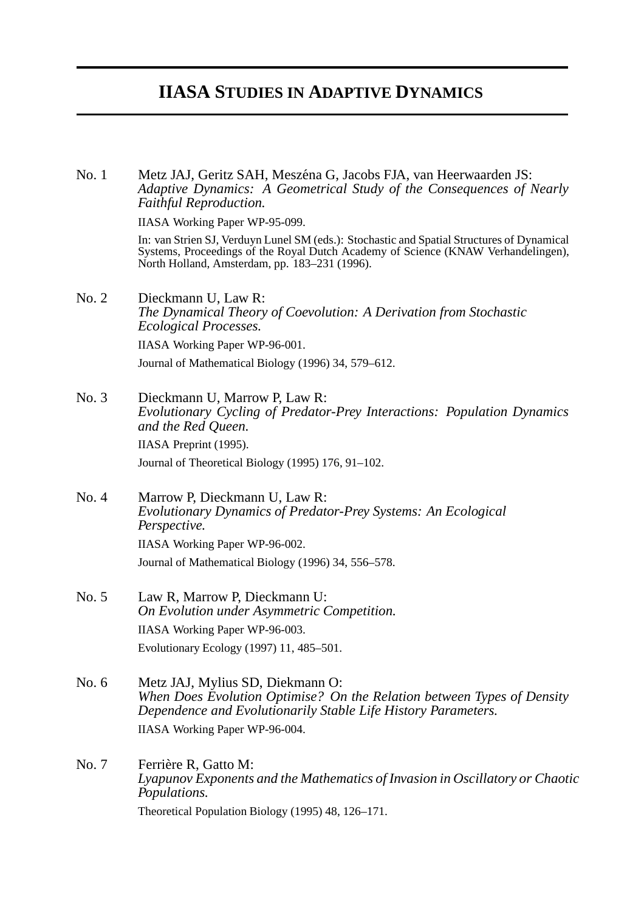# **IIASA STUDIES IN ADAPTIVE DYNAMICS**

No. 1 Metz JAJ, Geritz SAH, Meszéna G, Jacobs FJA, van Heerwaarden JS: *Adaptive Dynamics: A Geometrical Study of the Consequences of Nearly Faithful Reproduction.*

IIASA Working Paper WP-95-099.

In: van Strien SJ, Verduyn Lunel SM (eds.): Stochastic and Spatial Structures of Dynamical Systems, Proceedings of the Royal Dutch Academy of Science (KNAW Verhandelingen), North Holland, Amsterdam, pp. 183–231 (1996).

No. 2 Dieckmann U, Law R: *The Dynamical Theory of Coevolution: A Derivation from Stochastic Ecological Processes.* IIASA Working Paper WP-96-001.

Journal of Mathematical Biology (1996) 34, 579–612.

- No. 3 Dieckmann U, Marrow P, Law R: *Evolutionary Cycling of Predator-Prey Interactions: Population Dynamics and the Red Queen.* IIASA Preprint (1995). Journal of Theoretical Biology (1995) 176, 91–102.
- No. 4 Marrow P, Dieckmann U, Law R: *Evolutionary Dynamics of Predator-Prey Systems: An Ecological Perspective.* IIASA Working Paper WP-96-002. Journal of Mathematical Biology (1996) 34, 556–578.
- No. 5 Law R, Marrow P, Dieckmann U: *On Evolution under Asymmetric Competition.* IIASA Working Paper WP-96-003. Evolutionary Ecology (1997) 11, 485–501.
- No. 6 Metz JAJ, Mylius SD, Diekmann O: *When Does Evolution Optimise? On the Relation between Types of Density Dependence and Evolutionarily Stable Life History Parameters.* IIASA Working Paper WP-96-004.
- No. 7 Ferrière R, Gatto M: *Lyapunov Exponents and the Mathematics of Invasion in Oscillatory or Chaotic Populations.* Theoretical Population Biology (1995) 48, 126–171.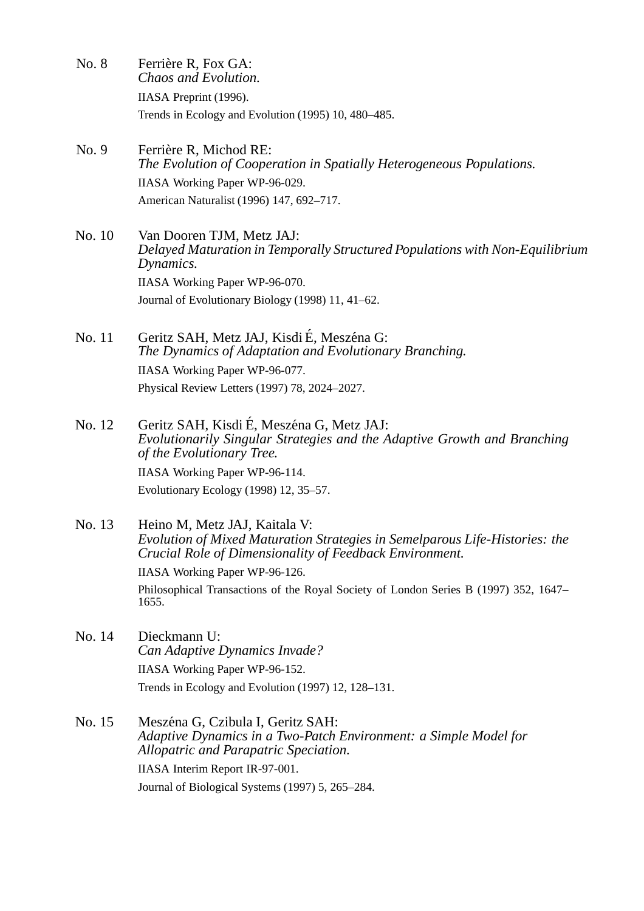- No. 8 Ferrière R, Fox GA: *Chaos and Evolution.* IIASA Preprint (1996). Trends in Ecology and Evolution (1995) 10, 480–485.
- No. 9 Ferrière R, Michod RE: *The Evolution of Cooperation in Spatially Heterogeneous Populations.* IIASA Working Paper WP-96-029. American Naturalist (1996) 147, 692–717.
- No. 10 Van Dooren TJM, Metz JAJ: *Delayed Maturation in Temporally Structured Populations with Non-Equilibrium Dynamics.* IIASA Working Paper WP-96-070. Journal of Evolutionary Biology (1998) 11, 41–62.
- No. 11 Geritz SAH, Metz JAJ, Kisdi É, Meszéna G: *The Dynamics of Adaptation and Evolutionary Branching.* IIASA Working Paper WP-96-077. Physical Review Letters (1997) 78, 2024–2027.
- No. 12 Geritz SAH, Kisdi É, Meszéna G, Metz JAJ: *Evolutionarily Singular Strategies and the Adaptive Growth and Branching of the Evolutionary Tree.* IIASA Working Paper WP-96-114.

Evolutionary Ecology (1998) 12, 35–57.

No. 13 Heino M, Metz JAJ, Kaitala V: *Evolution of Mixed Maturation Strategies in Semelparous Life-Histories: the Crucial Role of Dimensionality of Feedback Environment.*

IIASA Working Paper WP-96-126.

Philosophical Transactions of the Royal Society of London Series B (1997) 352, 1647– 1655.

- No. 14 Dieckmann U: *Can Adaptive Dynamics Invade?* IIASA Working Paper WP-96-152. Trends in Ecology and Evolution (1997) 12, 128–131.
- No. 15 Meszéna G, Czibula I, Geritz SAH: *Adaptive Dynamics in a Two-Patch Environment: a Simple Model for Allopatric and Parapatric Speciation.* IIASA Interim Report IR-97-001. Journal of Biological Systems (1997) 5, 265–284.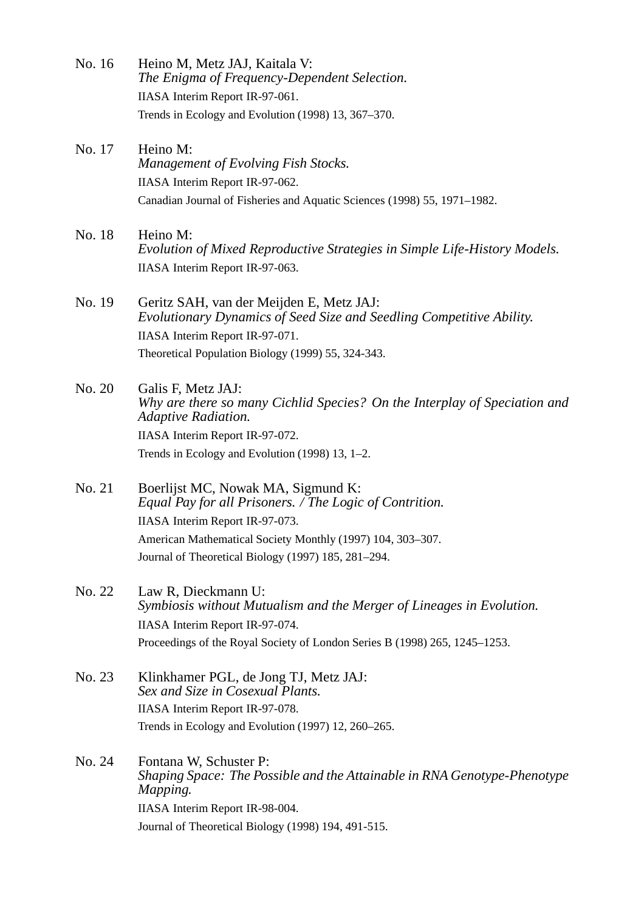No. 16 Heino M, Metz JAJ, Kaitala V: *The Enigma of Frequency-Dependent Selection.* IIASA Interim Report IR-97-061. Trends in Ecology and Evolution (1998) 13, 367–370. No. 17 Heino M: *Management of Evolving Fish Stocks.* IIASA Interim Report IR-97-062. Canadian Journal of Fisheries and Aquatic Sciences (1998) 55, 1971–1982. No. 18 Heino M: *Evolution of Mixed Reproductive Strategies in Simple Life-History Models.* IIASA Interim Report IR-97-063. No. 19 Geritz SAH, van der Meijden E, Metz JAJ: *Evolutionary Dynamics of Seed Size and Seedling Competitive Ability.* IIASA Interim Report IR-97-071. Theoretical Population Biology (1999) 55, 324-343. No. 20 Galis F, Metz JAJ: *Why are there so many Cichlid Species? On the Interplay of Speciation and Adaptive Radiation.* IIASA Interim Report IR-97-072. Trends in Ecology and Evolution (1998) 13, 1–2. No. 21 Boerlijst MC, Nowak MA, Sigmund K: *Equal Pay for all Prisoners. / The Logic of Contrition.* IIASA Interim Report IR-97-073. American Mathematical Society Monthly (1997) 104, 303–307. Journal of Theoretical Biology (1997) 185, 281–294. No. 22 Law R, Dieckmann U: *Symbiosis without Mutualism and the Merger of Lineages in Evolution.* IIASA Interim Report IR-97-074. Proceedings of the Royal Society of London Series B (1998) 265, 1245–1253. No. 23 Klinkhamer PGL, de Jong TJ, Metz JAJ: *Sex and Size in Cosexual Plants.* IIASA Interim Report IR-97-078. Trends in Ecology and Evolution (1997) 12, 260–265. No. 24 Fontana W, Schuster P: *Shaping Space: The Possible and the Attainable in RNA Genotype-Phenotype Mapping.* IIASA Interim Report IR-98-004.

Journal of Theoretical Biology (1998) 194, 491-515.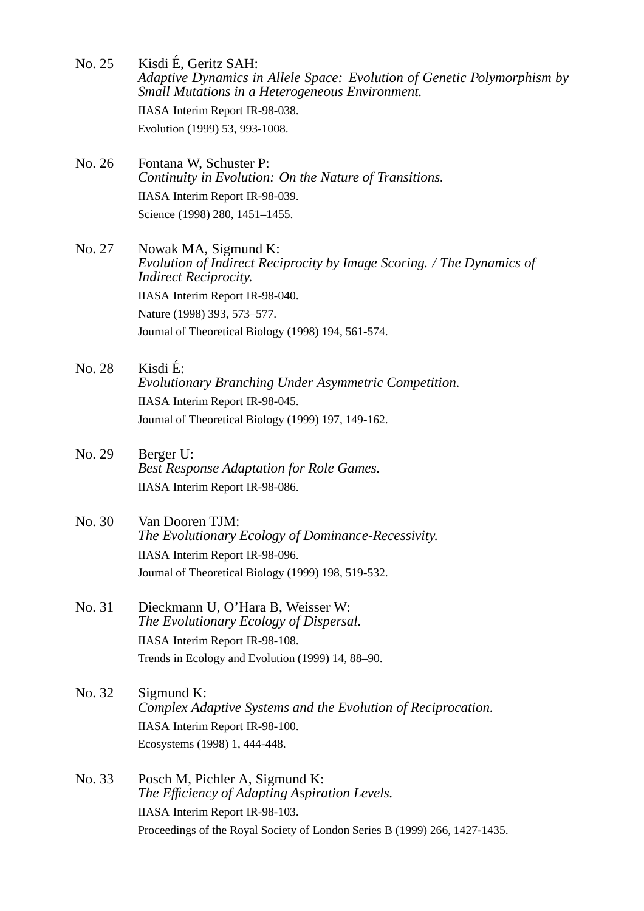- No. 25 Kisdi E, Geritz SAH: ´ *Adaptive Dynamics in Allele Space: Evolution of Genetic Polymorphism by Small Mutations in a Heterogeneous Environment.* IIASA Interim Report IR-98-038. Evolution (1999) 53, 993-1008.
- No. 26 Fontana W, Schuster P: *Continuity in Evolution: On the Nature of Transitions.* IIASA Interim Report IR-98-039. Science (1998) 280, 1451–1455.

No. 27 Nowak MA, Sigmund K: *Evolution of Indirect Reciprocity by Image Scoring. / The Dynamics of Indirect Reciprocity.* IIASA Interim Report IR-98-040. Nature (1998) 393, 573–577. Journal of Theoretical Biology (1998) 194, 561-574.

- $\overline{N_0}$ , 28 Kisdi É: *Evolutionary Branching Under Asymmetric Competition.* IIASA Interim Report IR-98-045. Journal of Theoretical Biology (1999) 197, 149-162.
- No. 29 Berger U: *Best Response Adaptation for Role Games.* IIASA Interim Report IR-98-086.
- No. 30 Van Dooren TJM: *The Evolutionary Ecology of Dominance-Recessivity.* IIASA Interim Report IR-98-096. Journal of Theoretical Biology (1999) 198, 519-532.
- No. 31 Dieckmann U, O'Hara B, Weisser W: *The Evolutionary Ecology of Dispersal.* IIASA Interim Report IR-98-108. Trends in Ecology and Evolution (1999) 14, 88–90.
- No. 32 Sigmund K: *Complex Adaptive Systems and the Evolution of Reciprocation.* IIASA Interim Report IR-98-100. Ecosystems (1998) 1, 444-448.
- No. 33 Posch M, Pichler A, Sigmund K: *The Efficiency of Adapting Aspiration Levels.* IIASA Interim Report IR-98-103. Proceedings of the Royal Society of London Series B (1999) 266, 1427-1435.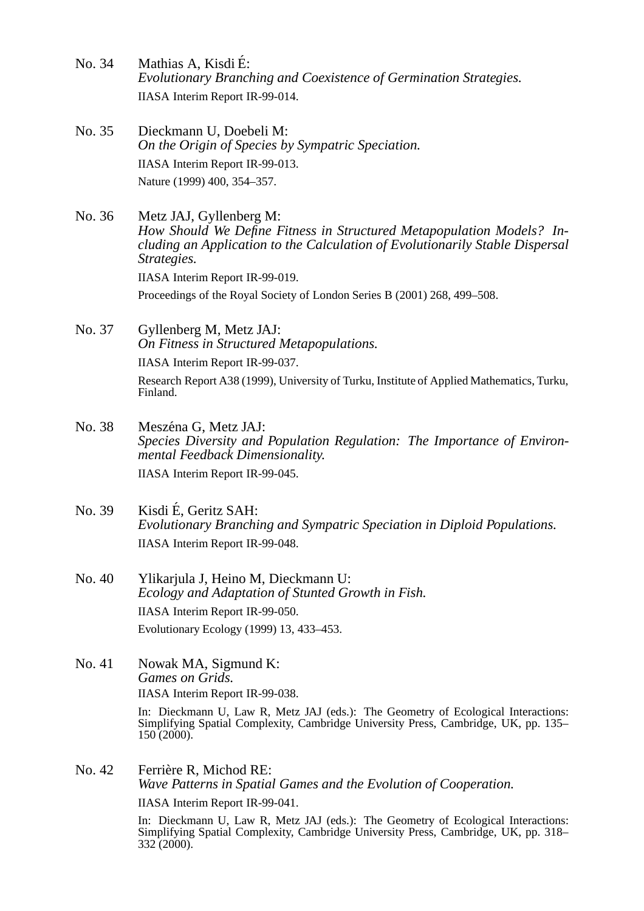- No. 34 Mathias A, Kisdi E: ´ *Evolutionary Branching and Coexistence of Germination Strategies.* IIASA Interim Report IR-99-014.
- No. 35 Dieckmann U, Doebeli M: *On the Origin of Species by Sympatric Speciation.* IIASA Interim Report IR-99-013. Nature (1999) 400, 354–357.
- No. 36 Metz JAJ, Gyllenberg M: *How Should We Define Fitness in Structured Metapopulation Models? Including an Application to the Calculation of Evolutionarily Stable Dispersal Strategies.* IIASA Interim Report IR-99-019. Proceedings of the Royal Society of London Series B (2001) 268, 499–508.
- No. 37 Gyllenberg M, Metz JAJ: *On Fitness in Structured Metapopulations.* IIASA Interim Report IR-99-037. Research Report A38 (1999), University of Turku, Institute of Applied Mathematics, Turku, Finland.
- No. 38 Meszéna G, Metz JAJ: *Species Diversity and Population Regulation: The Importance of Environmental Feedback Dimensionality.* IIASA Interim Report IR-99-045.
- No. 39 Kisdi E, Geritz SAH: ´ *Evolutionary Branching and Sympatric Speciation in Diploid Populations.* IIASA Interim Report IR-99-048.
- No. 40 Ylikarjula J, Heino M, Dieckmann U: *Ecology and Adaptation of Stunted Growth in Fish.* IIASA Interim Report IR-99-050. Evolutionary Ecology (1999) 13, 433–453.
- No. 41 Nowak MA, Sigmund K: *Games on Grids.* IIASA Interim Report IR-99-038.

In: Dieckmann U, Law R, Metz JAJ (eds.): The Geometry of Ecological Interactions: Simplifying Spatial Complexity, Cambridge University Press, Cambridge, UK, pp. 135–  $150(2000)$ .

No. 42 Ferrière R, Michod RE: *Wave Patterns in Spatial Games and the Evolution of Cooperation.* IIASA Interim Report IR-99-041.

In: Dieckmann U, Law R, Metz JAJ (eds.): The Geometry of Ecological Interactions: Simplifying Spatial Complexity, Cambridge University Press, Cambridge, UK, pp. 318– 332 (2000).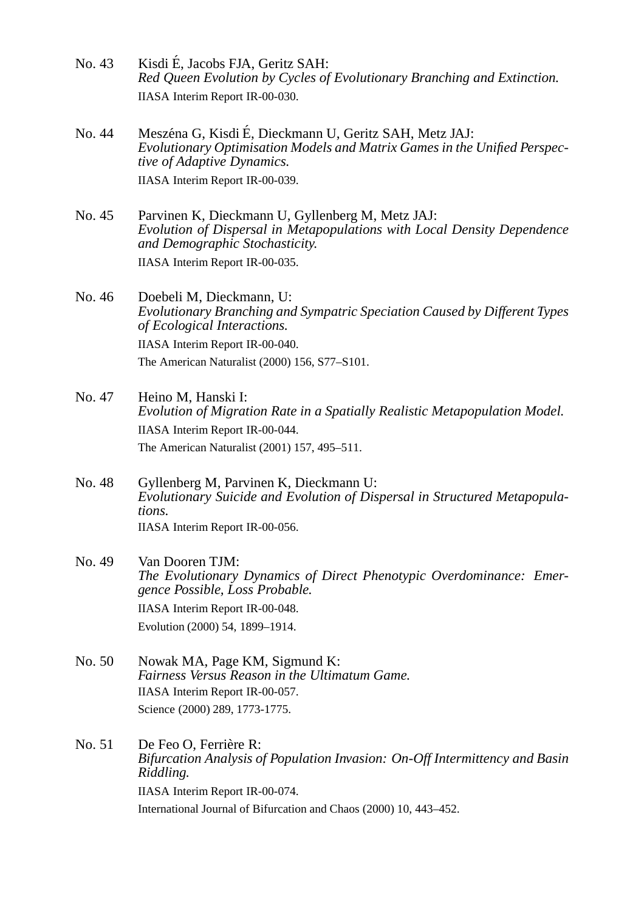- No. 43 Kisdi E, Jacobs FJA, Geritz SAH: ´ *Red Queen Evolution by Cycles of Evolutionary Branching and Extinction.* IIASA Interim Report IR-00-030.
- No. 44 Meszéna G, Kisdi É, Dieckmann U, Geritz SAH, Metz JAJ: *Evolutionary Optimisation Models and Matrix Games in the Unified Perspective of Adaptive Dynamics.* IIASA Interim Report IR-00-039.
- No. 45 Parvinen K, Dieckmann U, Gyllenberg M, Metz JAJ: *Evolution of Dispersal in Metapopulations with Local Density Dependence and Demographic Stochasticity.* IIASA Interim Report IR-00-035.

No. 46 Doebeli M, Dieckmann, U: *Evolutionary Branching and Sympatric Speciation Caused by Different Types of Ecological Interactions.* IIASA Interim Report IR-00-040. The American Naturalist (2000) 156, S77–S101.

- No. 47 Heino M, Hanski I: *Evolution of Migration Rate in a Spatially Realistic Metapopulation Model.* IIASA Interim Report IR-00-044. The American Naturalist (2001) 157, 495–511.
- No. 48 Gyllenberg M, Parvinen K, Dieckmann U: *Evolutionary Suicide and Evolution of Dispersal in Structured Metapopulations.* IIASA Interim Report IR-00-056.
- No. 49 Van Dooren TJM: *The Evolutionary Dynamics of Direct Phenotypic Overdominance: Emergence Possible, Loss Probable.* IIASA Interim Report IR-00-048. Evolution (2000) 54, 1899–1914.
- No. 50 Nowak MA, Page KM, Sigmund K: *Fairness Versus Reason in the Ultimatum Game.* IIASA Interim Report IR-00-057. Science (2000) 289, 1773-1775.
- No. 51 De Feo O, Ferrière R: *Bifurcation Analysis of Population Invasion: On-Off Intermittency and Basin Riddling.* IIASA Interim Report IR-00-074. International Journal of Bifurcation and Chaos (2000) 10, 443–452.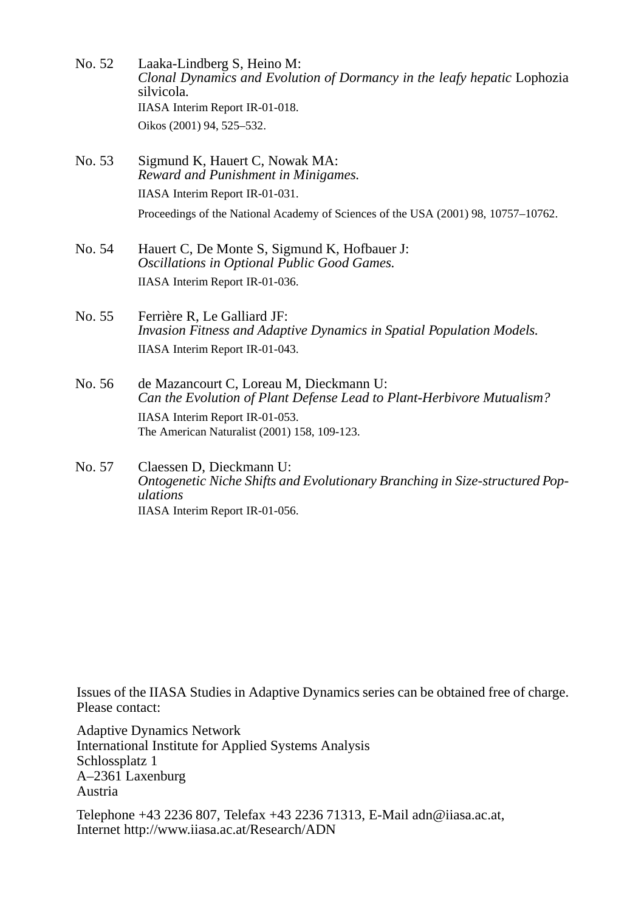- No. 52 Laaka-Lindberg S, Heino M: *Clonal Dynamics and Evolution of Dormancy in the leafy hepatic* Lophozia silvicola*.* IIASA Interim Report IR-01-018. Oikos (2001) 94, 525–532.
- No. 53 Sigmund K, Hauert C, Nowak MA: *Reward and Punishment in Minigames.* IIASA Interim Report IR-01-031. Proceedings of the National Academy of Sciences of the USA (2001) 98, 10757–10762.
- No. 54 Hauert C, De Monte S, Sigmund K, Hofbauer J: *Oscillations in Optional Public Good Games.* IIASA Interim Report IR-01-036.
- No. 55 Ferrière R, Le Galliard JF: *Invasion Fitness and Adaptive Dynamics in Spatial Population Models.* IIASA Interim Report IR-01-043.
- No. 56 de Mazancourt C, Loreau M, Dieckmann U: *Can the Evolution of Plant Defense Lead to Plant-Herbivore Mutualism?* IIASA Interim Report IR-01-053. The American Naturalist (2001) 158, 109-123.
- No. 57 Claessen D, Dieckmann U: *Ontogenetic Niche Shifts and Evolutionary Branching in Size-structured Populations* IIASA Interim Report IR-01-056.

Issues of the IIASA Studies in Adaptive Dynamics series can be obtained free of charge. Please contact:

Adaptive Dynamics Network International Institute for Applied Systems Analysis Schlossplatz 1 A–2361 Laxenburg Austria

Telephone +43 2236 807, Telefax +43 2236 71313, E-Mail adn@iiasa.ac.at, Internet http://www.iiasa.ac.at/Research/ADN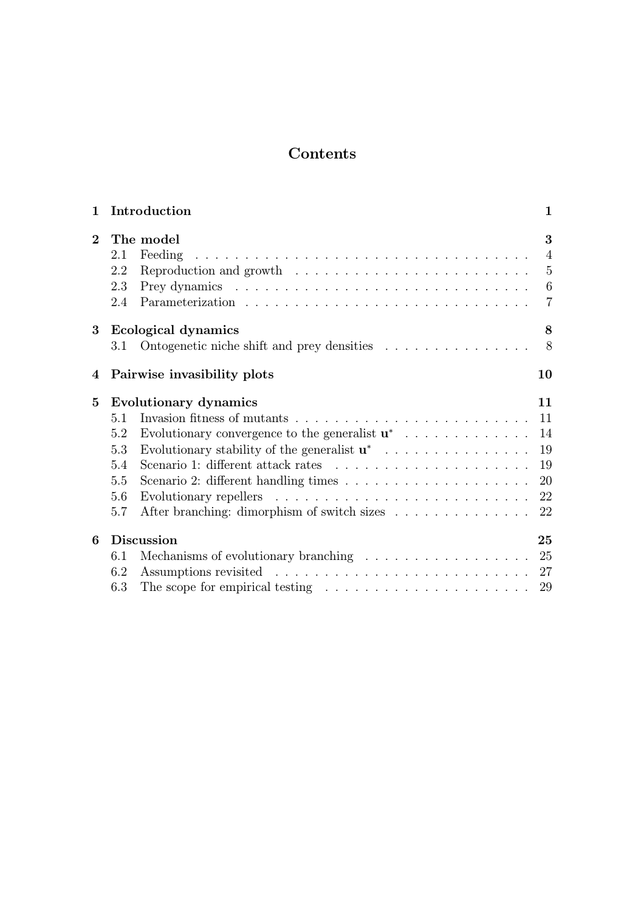# Contents

| $\mathbf{1}$   |                                               | Introduction                                                                                                                                                                                                                                                                                                                             | $\mathbf{1}$                                                                |  |  |  |  |
|----------------|-----------------------------------------------|------------------------------------------------------------------------------------------------------------------------------------------------------------------------------------------------------------------------------------------------------------------------------------------------------------------------------------------|-----------------------------------------------------------------------------|--|--|--|--|
| $\overline{2}$ | 2.1<br>2.2<br>2.3<br>2.4                      | The model<br>and a construction of the construction of the construction of the construction of the construction of the construction of the construction of the construction of the construction of the construction of the construction of<br>Feeding<br>Reproduction and growth $\dots \dots \dots \dots \dots \dots \dots \dots \dots$ | 3<br>$\overline{4}$<br>$5\phantom{.0}$<br>$6\phantom{.}6$<br>$\overline{7}$ |  |  |  |  |
| 3              | 3.1                                           | Ecological dynamics<br>Ontogenetic niche shift and prey densities                                                                                                                                                                                                                                                                        | 8<br>8                                                                      |  |  |  |  |
| 4              |                                               | Pairwise invasibility plots<br>10                                                                                                                                                                                                                                                                                                        |                                                                             |  |  |  |  |
| $\bf{5}$       | 5.1<br>5.2<br>5.3<br>5.4<br>5.5<br>5.6<br>5.7 | Evolutionary dynamics<br>Evolutionary convergence to the generalist $\mathbf{u}^*$<br>Evolutionary stability of the generalist $\mathbf{u}^*$<br>Scenario 1: different attack rates $\ldots \ldots \ldots \ldots \ldots \ldots \ldots$<br>After branching: dimorphism of switch sizes                                                    | 11<br>11<br>14<br>19<br>19<br>20<br>22<br>22                                |  |  |  |  |
| 6              | 6.1<br>6.2<br>6.3                             | <b>Discussion</b><br>Mechanisms of evolutionary branching $\ldots \ldots \ldots \ldots \ldots \ldots$ 25<br>The scope for empirical testing $\ldots \ldots \ldots \ldots \ldots \ldots \ldots \ldots 29$                                                                                                                                 | 25                                                                          |  |  |  |  |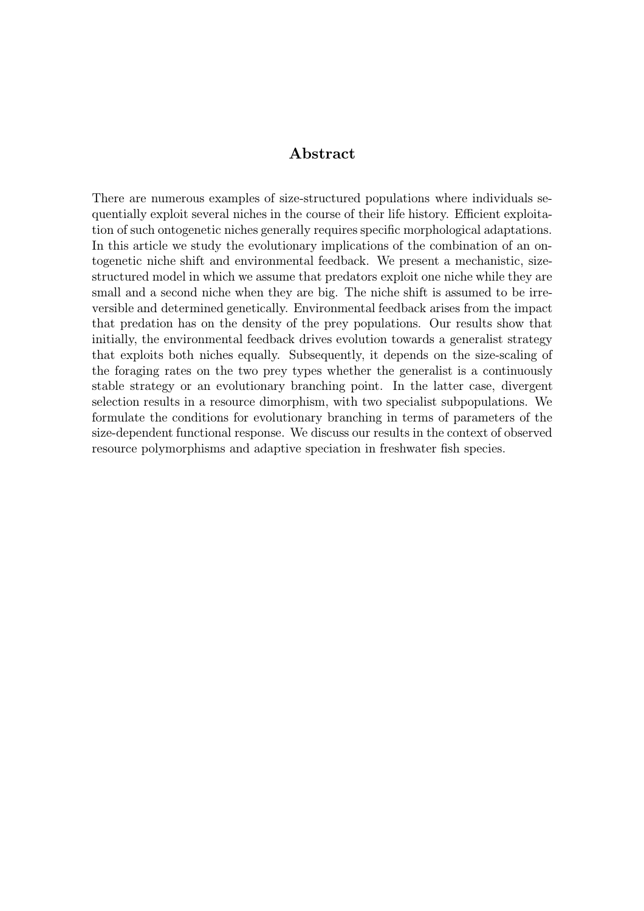#### Abstract

There are numerous examples of size-structured populations where individuals sequentially exploit several niches in the course of their life history. Efficient exploitation of such ontogenetic niches generally requires specific morphological adaptations. In this article we study the evolutionary implications of the combination of an ontogenetic niche shift and environmental feedback. We present a mechanistic, sizestructured model in which we assume that predators exploit one niche while they are small and a second niche when they are big. The niche shift is assumed to be irreversible and determined genetically. Environmental feedback arises from the impact that predation has on the density of the prey populations. Our results show that initially, the environmental feedback drives evolution towards a generalist strategy that exploits both niches equally. Subsequently, it depends on the size-scaling of the foraging rates on the two prey types whether the generalist is a continuously stable strategy or an evolutionary branching point. In the latter case, divergent selection results in a resource dimorphism, with two specialist subpopulations. We formulate the conditions for evolutionary branching in terms of parameters of the size-dependent functional response. We discuss our results in the context of observed resource polymorphisms and adaptive speciation in freshwater fish species.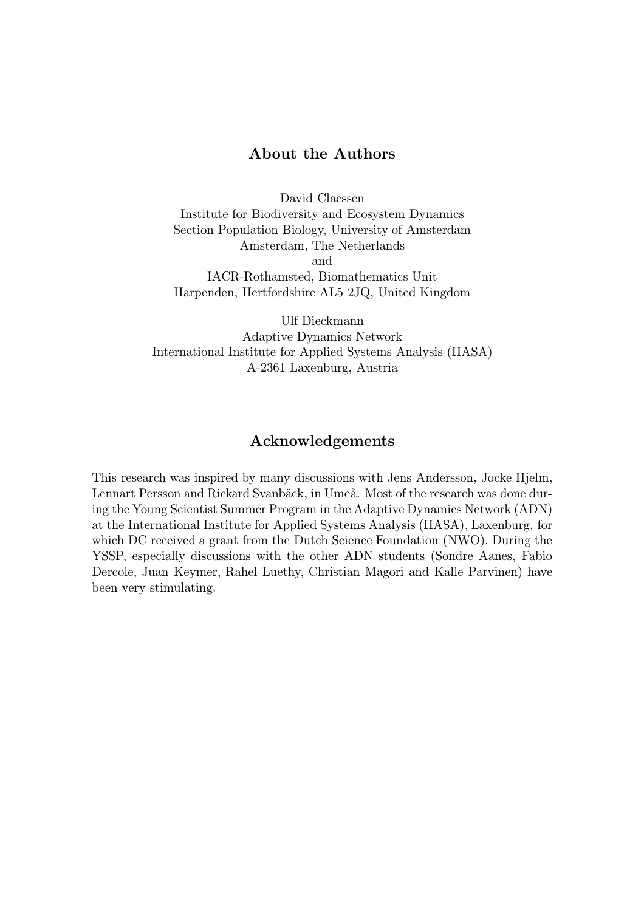#### About the Authors

David Claessen Institute for Biodiversity and Ecosystem Dynamics Section Population Biology, University of Amsterdam Amsterdam, The Netherlands and IACR-Rothamsted, Biomathematics Unit Harpenden, Hertfordshire AL5 2JQ, United Kingdom

Ulf Dieckmann Adaptive Dynamics Network International Institute for Applied Systems Analysis (IIASA) A-2361 Laxenburg, Austria

#### Acknowledgements

This research was inspired by many discussions with Jens Andersson, Jocke Hjelm, Lennart Persson and Rickard Svanbäck, in Umeå. Most of the research was done during the Young Scientist Summer Program in the Adaptive Dynamics Network (ADN) at the International Institute for Applied Systems Analysis (IIASA), Laxenburg, for which DC received a grant from the Dutch Science Foundation (NWO). During the YSSP, especially discussions with the other ADN students (Sondre Aanes, Fabio Dercole, Juan Keymer, Rahel Luethy, Christian Magori and Kalle Parvinen) have been very stimulating.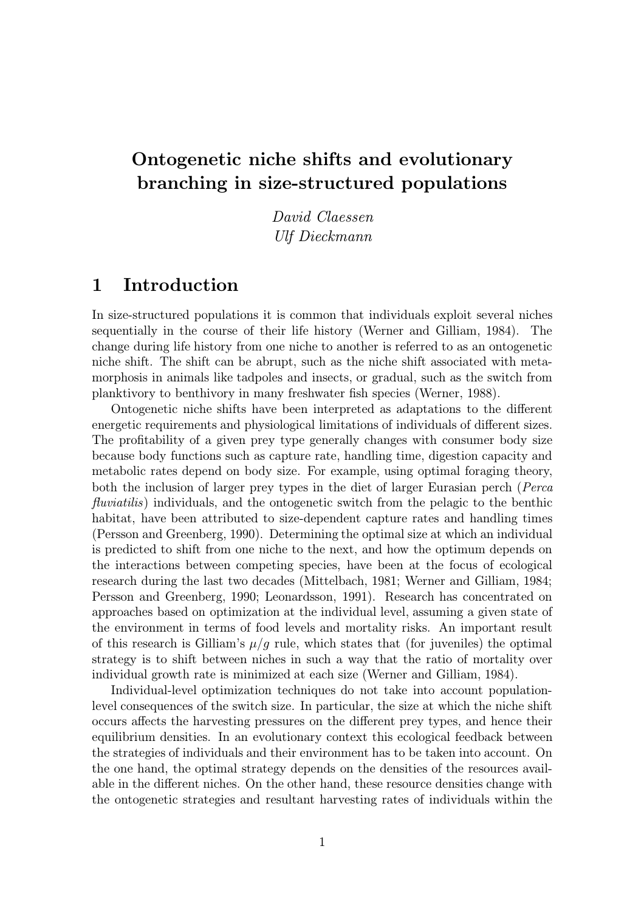# Ontogenetic niche shifts and evolutionary branching in size-structured populations

David Claessen Ulf Dieckmann

# 1 Introduction

In size-structured populations it is common that individuals exploit several niches sequentially in the course of their life history (Werner and Gilliam, 1984). The change during life history from one niche to another is referred to as an ontogenetic niche shift. The shift can be abrupt, such as the niche shift associated with metamorphosis in animals like tadpoles and insects, or gradual, such as the switch from planktivory to benthivory in many freshwater fish species (Werner, 1988).

Ontogenetic niche shifts have been interpreted as adaptations to the different energetic requirements and physiological limitations of individuals of different sizes. The profitability of a given prey type generally changes with consumer body size because body functions such as capture rate, handling time, digestion capacity and metabolic rates depend on body size. For example, using optimal foraging theory, both the inclusion of larger prey types in the diet of larger Eurasian perch (Perca fluviatilis) individuals, and the ontogenetic switch from the pelagic to the benthic habitat, have been attributed to size-dependent capture rates and handling times (Persson and Greenberg, 1990). Determining the optimal size at which an individual is predicted to shift from one niche to the next, and how the optimum depends on the interactions between competing species, have been at the focus of ecological research during the last two decades (Mittelbach, 1981; Werner and Gilliam, 1984; Persson and Greenberg, 1990; Leonardsson, 1991). Research has concentrated on approaches based on optimization at the individual level, assuming a given state of the environment in terms of food levels and mortality risks. An important result of this research is Gilliam's  $\mu/g$  rule, which states that (for juveniles) the optimal strategy is to shift between niches in such a way that the ratio of mortality over individual growth rate is minimized at each size (Werner and Gilliam, 1984).

Individual-level optimization techniques do not take into account populationlevel consequences of the switch size. In particular, the size at which the niche shift occurs affects the harvesting pressures on the different prey types, and hence their equilibrium densities. In an evolutionary context this ecological feedback between the strategies of individuals and their environment has to be taken into account. On the one hand, the optimal strategy depends on the densities of the resources available in the different niches. On the other hand, these resource densities change with the ontogenetic strategies and resultant harvesting rates of individuals within the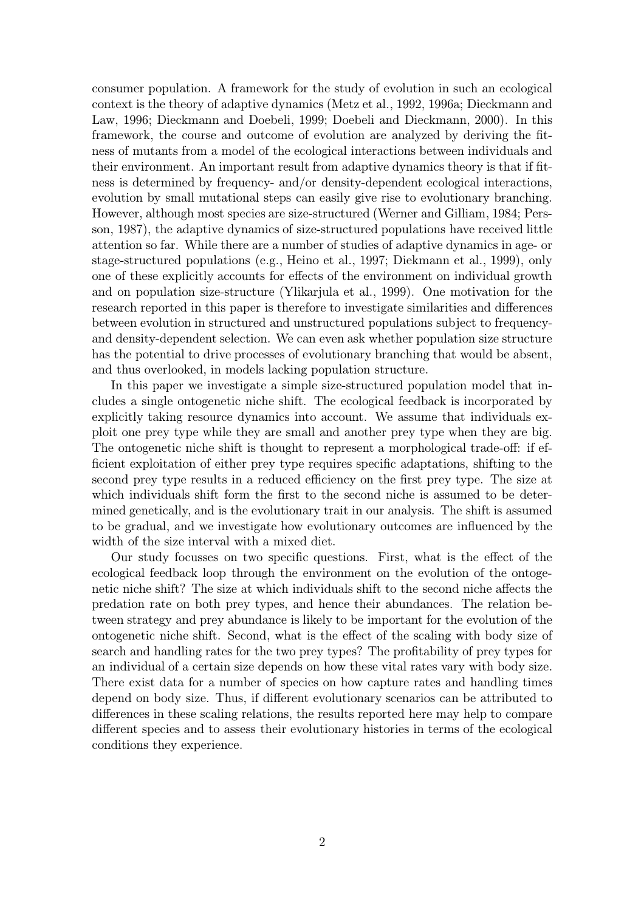consumer population. A framework for the study of evolution in such an ecological context is the theory of adaptive dynamics (Metz et al., 1992, 1996a; Dieckmann and Law, 1996; Dieckmann and Doebeli, 1999; Doebeli and Dieckmann, 2000). In this framework, the course and outcome of evolution are analyzed by deriving the fitness of mutants from a model of the ecological interactions between individuals and their environment. An important result from adaptive dynamics theory is that if fitness is determined by frequency- and/or density-dependent ecological interactions, evolution by small mutational steps can easily give rise to evolutionary branching. However, although most species are size-structured (Werner and Gilliam, 1984; Persson, 1987), the adaptive dynamics of size-structured populations have received little attention so far. While there are a number of studies of adaptive dynamics in age- or stage-structured populations (e.g., Heino et al., 1997; Diekmann et al., 1999), only one of these explicitly accounts for effects of the environment on individual growth and on population size-structure (Ylikarjula et al., 1999). One motivation for the research reported in this paper is therefore to investigate similarities and differences between evolution in structured and unstructured populations subject to frequencyand density-dependent selection. We can even ask whether population size structure has the potential to drive processes of evolutionary branching that would be absent, and thus overlooked, in models lacking population structure.

In this paper we investigate a simple size-structured population model that includes a single ontogenetic niche shift. The ecological feedback is incorporated by explicitly taking resource dynamics into account. We assume that individuals exploit one prey type while they are small and another prey type when they are big. The ontogenetic niche shift is thought to represent a morphological trade-off: if efficient exploitation of either prey type requires specific adaptations, shifting to the second prey type results in a reduced efficiency on the first prey type. The size at which individuals shift form the first to the second niche is assumed to be determined genetically, and is the evolutionary trait in our analysis. The shift is assumed to be gradual, and we investigate how evolutionary outcomes are influenced by the width of the size interval with a mixed diet.

Our study focusses on two specific questions. First, what is the effect of the ecological feedback loop through the environment on the evolution of the ontogenetic niche shift? The size at which individuals shift to the second niche affects the predation rate on both prey types, and hence their abundances. The relation between strategy and prey abundance is likely to be important for the evolution of the ontogenetic niche shift. Second, what is the effect of the scaling with body size of search and handling rates for the two prey types? The profitability of prey types for an individual of a certain size depends on how these vital rates vary with body size. There exist data for a number of species on how capture rates and handling times depend on body size. Thus, if different evolutionary scenarios can be attributed to differences in these scaling relations, the results reported here may help to compare different species and to assess their evolutionary histories in terms of the ecological conditions they experience.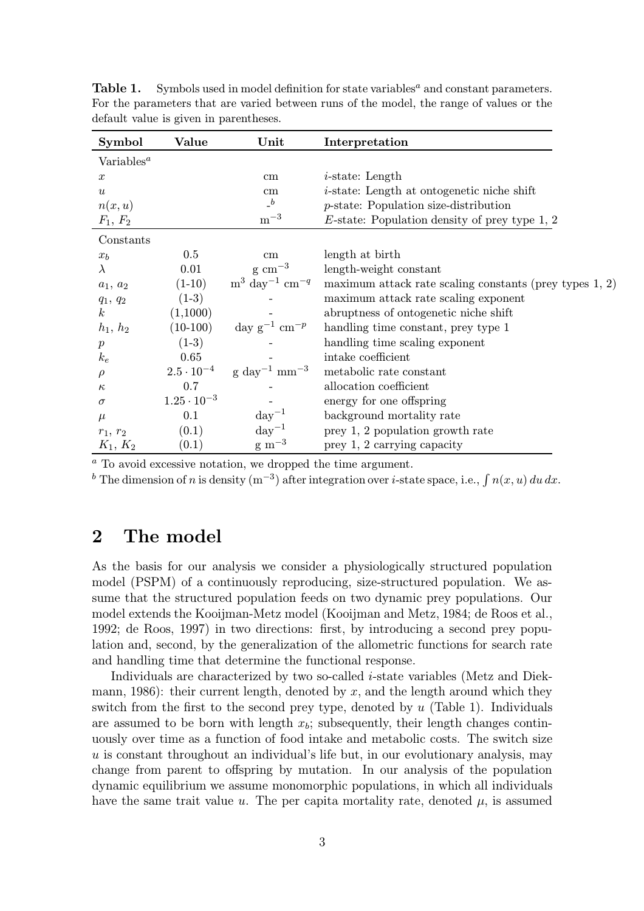| Symbol                        | Value                | Unit                                                | Interpretation                                             |
|-------------------------------|----------------------|-----------------------------------------------------|------------------------------------------------------------|
| Variables <sup><i>a</i></sup> |                      |                                                     |                                                            |
| $\boldsymbol{x}$              |                      | $\,\mathrm{cm}$                                     | $i$ -state: Length                                         |
| $\boldsymbol{u}$              |                      | $\,\mathrm{cm}$                                     | <i>i</i> -state: Length at ontogenetic niche shift         |
| n(x, u)                       |                      | $\mathbf{a}$                                        | $p$ -state: Population size-distribution                   |
| $F_1, F_2$                    |                      | $m^{-3}$                                            | $E$ -state: Population density of prey type 1, 2           |
| Constants                     |                      |                                                     |                                                            |
| $x_b$                         | $0.5\,$              | cm                                                  | length at birth                                            |
| $\lambda$                     | 0.01                 | $\rm g\ cm^{-3}$                                    | length-weight constant                                     |
| $a_1, a_2$                    | $(1-10)$             | $\mathrm{m}^3 \mathrm{~day}^{-1} \mathrm{~cm}^{-q}$ | maximum attack rate scaling constants (prey types $1, 2$ ) |
| $q_1, q_2$                    | $(1-3)$              |                                                     | maximum attack rate scaling exponent                       |
| $\boldsymbol{k}$              | (1,1000)             |                                                     | abruptness of ontogenetic niche shift                      |
| $h_1, h_2$                    | $(10-100)$           | day $g^{-1}$ cm <sup>-p</sup>                       | handling time constant, prey type 1                        |
| $\boldsymbol{p}$              | $(1-3)$              |                                                     | handling time scaling exponent                             |
| $k_e$                         | 0.65                 |                                                     | intake coefficient                                         |
| $\rho$                        | $2.5 \cdot 10^{-4}$  | $\rm g$ day <sup>-1</sup> mm <sup>-3</sup>          | metabolic rate constant                                    |
| $\kappa$                      | 0.7                  |                                                     | allocation coefficient                                     |
| $\sigma$                      | $1.25 \cdot 10^{-3}$ |                                                     | energy for one offspring                                   |
| $\mu$                         | 0.1                  | $\mathrm{day}^{-1}$                                 | background mortality rate                                  |
| $r_1, r_2$                    | (0.1)                | $\mathrm{day}^{-1}$                                 | prey 1, 2 population growth rate                           |
| $K_1, K_2$                    | (0.1)                | $\rm g~m^{-3}$                                      | prey 1, 2 carrying capacity                                |

Table 1. Symbols used in model definition for state variables<sup> $a$ </sup> and constant parameters. For the parameters that are varied between runs of the model, the range of values or the default value is given in parentheses.

<sup>a</sup> To avoid excessive notation, we dropped the time argument.

<sup>b</sup> The dimension of n is density (m<sup>-3</sup>) after integration over *i*-state space, i.e.,  $\int n(x, u) du dx$ .

# 2 The model

As the basis for our analysis we consider a physiologically structured population model (PSPM) of a continuously reproducing, size-structured population. We assume that the structured population feeds on two dynamic prey populations. Our model extends the Kooijman-Metz model (Kooijman and Metz, 1984; de Roos et al., 1992; de Roos, 1997) in two directions: first, by introducing a second prey population and, second, by the generalization of the allometric functions for search rate and handling time that determine the functional response.

Individuals are characterized by two so-called i-state variables (Metz and Diekmann, 1986): their current length, denoted by  $x$ , and the length around which they switch from the first to the second prey type, denoted by  $u$  (Table 1). Individuals are assumed to be born with length  $x<sub>b</sub>$ ; subsequently, their length changes continuously over time as a function of food intake and metabolic costs. The switch size  $u$  is constant throughout an individual's life but, in our evolutionary analysis, may change from parent to offspring by mutation. In our analysis of the population dynamic equilibrium we assume monomorphic populations, in which all individuals have the same trait value u. The per capita mortality rate, denoted  $\mu$ , is assumed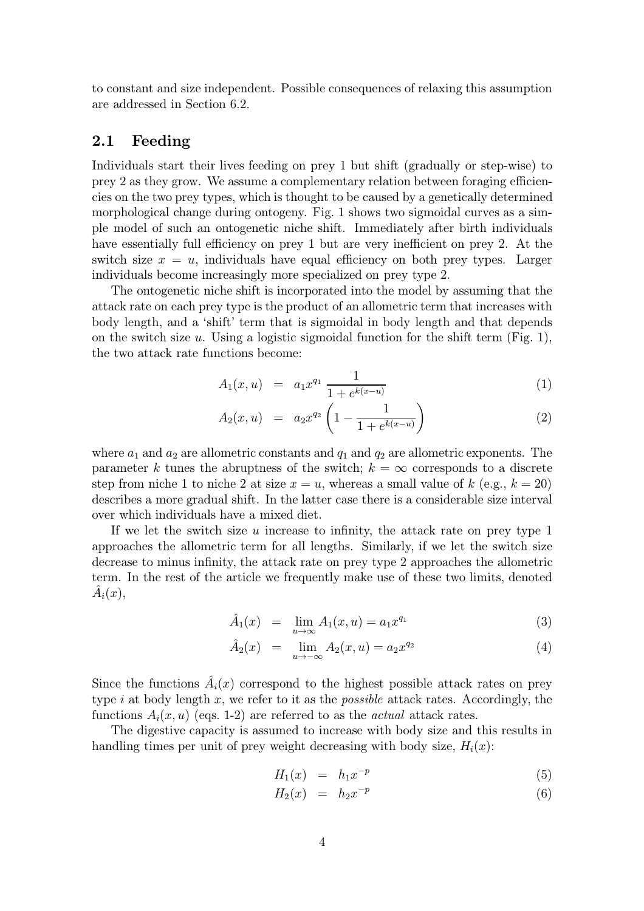to constant and size independent. Possible consequences of relaxing this assumption are addressed in Section 6.2.

#### 2.1 Feeding

Individuals start their lives feeding on prey 1 but shift (gradually or step-wise) to prey 2 as they grow. We assume a complementary relation between foraging efficiencies on the two prey types, which is thought to be caused by a genetically determined morphological change during ontogeny. Fig. 1 shows two sigmoidal curves as a simple model of such an ontogenetic niche shift. Immediately after birth individuals have essentially full efficiency on prey 1 but are very inefficient on prey 2. At the switch size  $x = u$ , individuals have equal efficiency on both prey types. Larger individuals become increasingly more specialized on prey type 2.

The ontogenetic niche shift is incorporated into the model by assuming that the attack rate on each prey type is the product of an allometric term that increases with body length, and a 'shift' term that is sigmoidal in body length and that depends on the switch size u. Using a logistic sigmoidal function for the shift term (Fig. 1), the two attack rate functions become:

$$
A_1(x, u) = a_1 x^{q_1} \frac{1}{1 + e^{k(x - u)}}
$$
 (1)

$$
A_2(x, u) = a_2 x^{q_2} \left( 1 - \frac{1}{1 + e^{k(x - u)}} \right) \tag{2}
$$

where  $a_1$  and  $a_2$  are allometric constants and  $q_1$  and  $q_2$  are allometric exponents. The parameter k tunes the abruptness of the switch;  $k = \infty$  corresponds to a discrete step from niche 1 to niche 2 at size  $x = u$ , whereas a small value of k (e.g.,  $k = 20$ ) describes a more gradual shift. In the latter case there is a considerable size interval over which individuals have a mixed diet.

If we let the switch size u increase to infinity, the attack rate on prey type 1 approaches the allometric term for all lengths. Similarly, if we let the switch size decrease to minus infinity, the attack rate on prey type 2 approaches the allometric term. In the rest of the article we frequently make use of these two limits, denoted  $A_i(x)$ ,

$$
\hat{A}_1(x) = \lim_{u \to \infty} A_1(x, u) = a_1 x^{q_1}
$$
\n(3)

$$
\hat{A}_2(x) = \lim_{u \to -\infty} A_2(x, u) = a_2 x^{q_2} \tag{4}
$$

Since the functions  $\hat{A}_i(x)$  correspond to the highest possible attack rates on prey type i at body length x, we refer to it as the *possible* attack rates. Accordingly, the functions  $A_i(x, u)$  (eqs. 1-2) are referred to as the *actual* attack rates.

The digestive capacity is assumed to increase with body size and this results in handling times per unit of prey weight decreasing with body size,  $H_i(x)$ :

$$
H_1(x) = h_1 x^{-p} \tag{5}
$$

$$
H_2(x) = h_2 x^{-p} \tag{6}
$$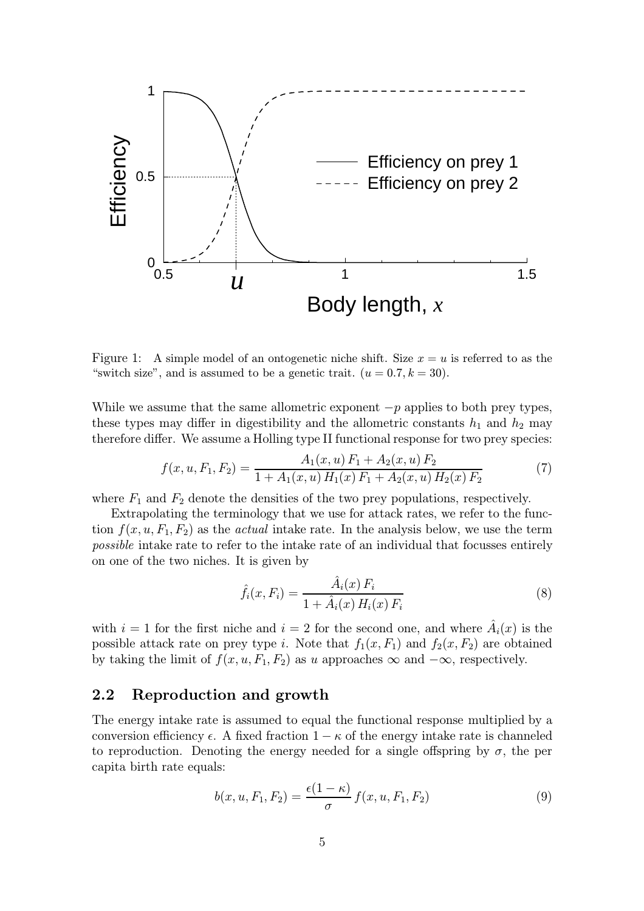

Figure 1: A simple model of an ontogenetic niche shift. Size  $x = u$  is referred to as the "switch size", and is assumed to be a genetic trait.  $(u = 0.7, k = 30)$ .

While we assume that the same allometric exponent  $-p$  applies to both prey types, these types may differ in digestibility and the allometric constants  $h_1$  and  $h_2$  may therefore differ. We assume a Holling type II functional response for two prey species:

$$
f(x, u, F_1, F_2) = \frac{A_1(x, u) F_1 + A_2(x, u) F_2}{1 + A_1(x, u) H_1(x) F_1 + A_2(x, u) H_2(x) F_2}
$$
(7)

where  $F_1$  and  $F_2$  denote the densities of the two prey populations, respectively.

Extrapolating the terminology that we use for attack rates, we refer to the function  $f(x, u, F_1, F_2)$  as the *actual* intake rate. In the analysis below, we use the term possible intake rate to refer to the intake rate of an individual that focusses entirely on one of the two niches. It is given by

$$
\hat{f}_i(x, F_i) = \frac{\hat{A}_i(x) F_i}{1 + \hat{A}_i(x) H_i(x) F_i}
$$
\n(8)

with  $i = 1$  for the first niche and  $i = 2$  for the second one, and where  $A_i(x)$  is the possible attack rate on prey type i. Note that  $f_1(x, F_1)$  and  $f_2(x, F_2)$  are obtained by taking the limit of  $f(x, u, F_1, F_2)$  as u approaches  $\infty$  and  $-\infty$ , respectively.

#### 2.2 Reproduction and growth

The energy intake rate is assumed to equal the functional response multiplied by a conversion efficiency  $\epsilon$ . A fixed fraction  $1 - \kappa$  of the energy intake rate is channeled to reproduction. Denoting the energy needed for a single offspring by  $\sigma$ , the per capita birth rate equals:

$$
b(x, u, F_1, F_2) = \frac{\epsilon(1 - \kappa)}{\sigma} f(x, u, F_1, F_2)
$$
\n(9)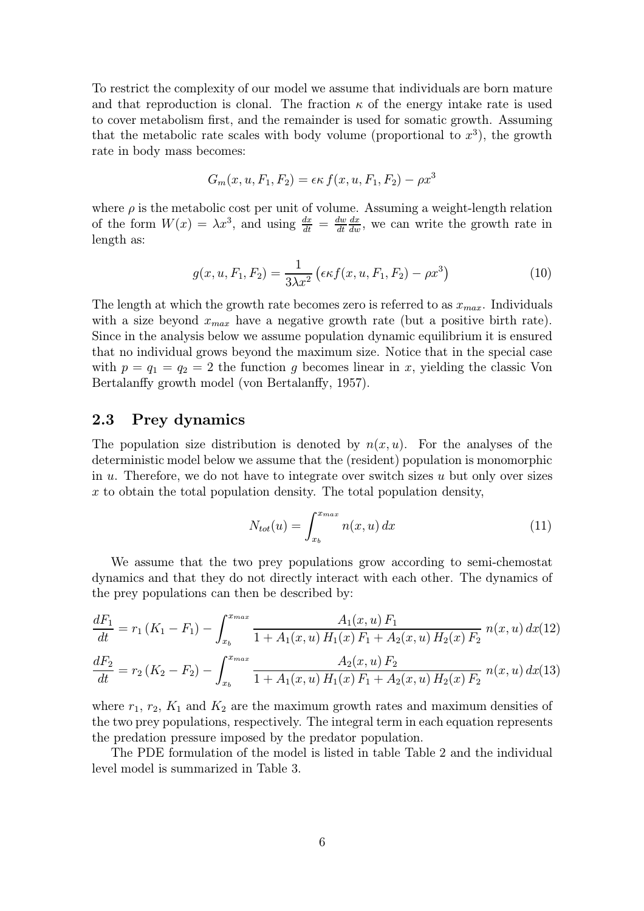To restrict the complexity of our model we assume that individuals are born mature and that reproduction is clonal. The fraction  $\kappa$  of the energy intake rate is used to cover metabolism first, and the remainder is used for somatic growth. Assuming that the metabolic rate scales with body volume (proportional to  $x^3$ ), the growth rate in body mass becomes:

$$
G_m(x, u, F_1, F_2) = \epsilon \kappa f(x, u, F_1, F_2) - \rho x^3
$$

where  $\rho$  is the metabolic cost per unit of volume. Assuming a weight-length relation of the form  $W(x) = \lambda x^3$ , and using  $\frac{dx}{dt} = \frac{dw}{dt}$  $\frac{dx}{dw}$ , we can write the growth rate in length as:

$$
g(x, u, F_1, F_2) = \frac{1}{3\lambda x^2} \left( \epsilon \kappa f(x, u, F_1, F_2) - \rho x^3 \right)
$$
 (10)

The length at which the growth rate becomes zero is referred to as  $x_{max}$ . Individuals with a size beyond  $x_{max}$  have a negative growth rate (but a positive birth rate). Since in the analysis below we assume population dynamic equilibrium it is ensured that no individual grows beyond the maximum size. Notice that in the special case with  $p = q_1 = q_2 = 2$  the function g becomes linear in x, yielding the classic Von Bertalanffy growth model (von Bertalanffy, 1957).

#### 2.3 Prey dynamics

The population size distribution is denoted by  $n(x, u)$ . For the analyses of the deterministic model below we assume that the (resident) population is monomorphic in  $u$ . Therefore, we do not have to integrate over switch sizes  $u$  but only over sizes x to obtain the total population density. The total population density,

$$
N_{tot}(u) = \int_{x_b}^{x_{max}} n(x, u) dx \tag{11}
$$

We assume that the two prey populations grow according to semi-chemostat dynamics and that they do not directly interact with each other. The dynamics of the prey populations can then be described by:

$$
\frac{dF_1}{dt} = r_1 (K_1 - F_1) - \int_{x_b}^{x_{max}} \frac{A_1(x, u) F_1}{1 + A_1(x, u) H_1(x) F_1 + A_2(x, u) H_2(x) F_2} n(x, u) dx
$$
\n
$$
\frac{dF_2}{dt} = r_2 (K_2 - F_2) - \int_{x_b}^{x_{max}} \frac{A_2(x, u) F_2}{1 + A_1(x, u) H_1(x) F_1 + A_2(x, u) H_2(x) F_2} n(x, u) dx
$$
\n(13)

where  $r_1$ ,  $r_2$ ,  $K_1$  and  $K_2$  are the maximum growth rates and maximum densities of the two prey populations, respectively. The integral term in each equation represents the predation pressure imposed by the predator population.

The PDE formulation of the model is listed in table Table 2 and the individual level model is summarized in Table 3.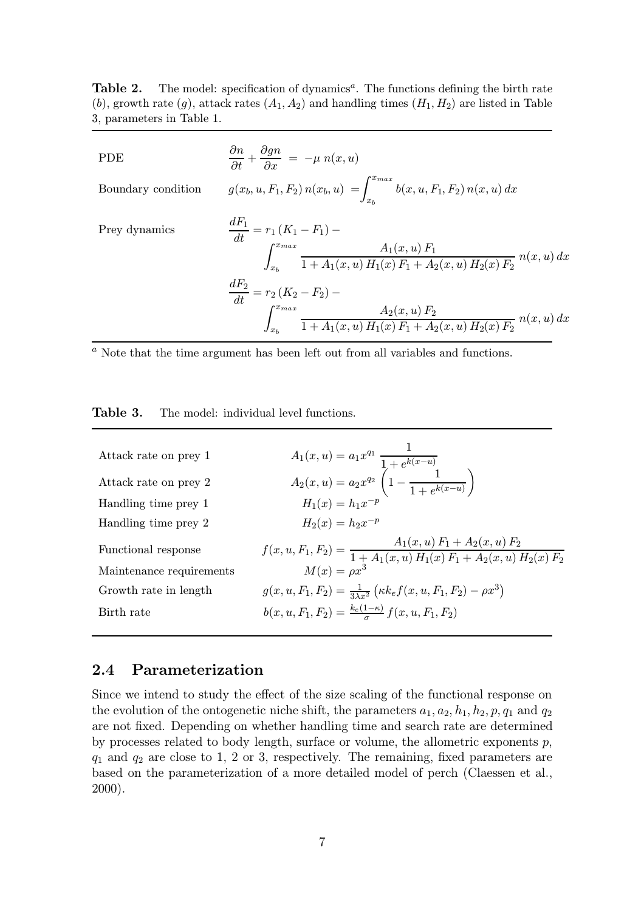Table 2. The model: specification of dynamics<sup>a</sup>. The functions defining the birth rate (b), growth rate (g), attack rates  $(A_1, A_2)$  and handling times  $(H_1, H_2)$  are listed in Table 3, parameters in Table 1.

| PDE                | $\frac{\partial n}{\partial t} + \frac{\partial gn}{\partial x} = -\mu \; n(x,u)$                                                                                                                                                                                                                    |
|--------------------|------------------------------------------------------------------------------------------------------------------------------------------------------------------------------------------------------------------------------------------------------------------------------------------------------|
| Boundary condition | $g(x_b, u, F_1, F_2) n(x_b, u) = \int_{x_b}^{x_{max}} b(x, u, F_1, F_2) n(x, u) dx$                                                                                                                                                                                                                  |
| Prey dynamics      | $\frac{dF_1}{dt} = r_1 (K_1 - F_1) -$<br>$\int_{x_b}^{x_{max}} \frac{A_1(x, u) F_1}{1 + A_1(x, u) H_1(x) F_1 + A_2(x, u) H_2(x) F_2} n(x, u) dx$<br>$\frac{dF_2}{dt} = r_2 (K_2 - F_2) -$<br>$\int_{x_h}^{x_{max}} \frac{A_2(x, u) F_2}{1 + A_1(x, u) H_1(x) F_1 + A_2(x, u) H_2(x) F_2} n(x, u) dx$ |

 $\overline{a}$  Note that the time argument has been left out from all variables and functions.

| Table 3.<br>The model: individual level functions. |  |
|----------------------------------------------------|--|
|----------------------------------------------------|--|

| Attack rate on prey 1    | $A_1(x, u) = a_1 x^{q_1} \frac{1}{1 + e^{k(x-u)}}$<br>$A_2(x, u) = a_2 x^{q_2} \left(1 - \frac{1}{1 + e^{k(x-u)}}\right)$        |
|--------------------------|----------------------------------------------------------------------------------------------------------------------------------|
| Attack rate on prey 2    |                                                                                                                                  |
| Handling time prey 1     | $H_1(x) = h_1 x^{-p}$                                                                                                            |
| Handling time prey 2     | $H_2(x) = h_2 x^{-p}$                                                                                                            |
| Functional response      | $f(x, u, F_1, F_2) = {A_1(x, u) F_1 + A_2(x, u) F_2 \over 1 + A_1(x, u) H_1(x) F_1 + A_2(x, u) H_2(x) F_2}$<br>$M(x) = \rho x^3$ |
| Maintenance requirements |                                                                                                                                  |
| Growth rate in length    | $g(x, u, F_1, F_2) = \frac{1}{3\lambda r^2} \left( \kappa k_e f(x, u, F_1, F_2) - \rho x^3 \right)$                              |
| Birth rate               | $b(x, u, F_1, F_2) = \frac{k_e(1-\kappa)}{2} f(x, u, F_1, F_2)$                                                                  |
|                          |                                                                                                                                  |

#### 2.4 Parameterization

Since we intend to study the effect of the size scaling of the functional response on the evolution of the ontogenetic niche shift, the parameters  $a_1, a_2, h_1, h_2, p, q_1$  and  $q_2$ are not fixed. Depending on whether handling time and search rate are determined by processes related to body length, surface or volume, the allometric exponents  $p$ ,  $q_1$  and  $q_2$  are close to 1, 2 or 3, respectively. The remaining, fixed parameters are based on the parameterization of a more detailed model of perch (Claessen et al., 2000).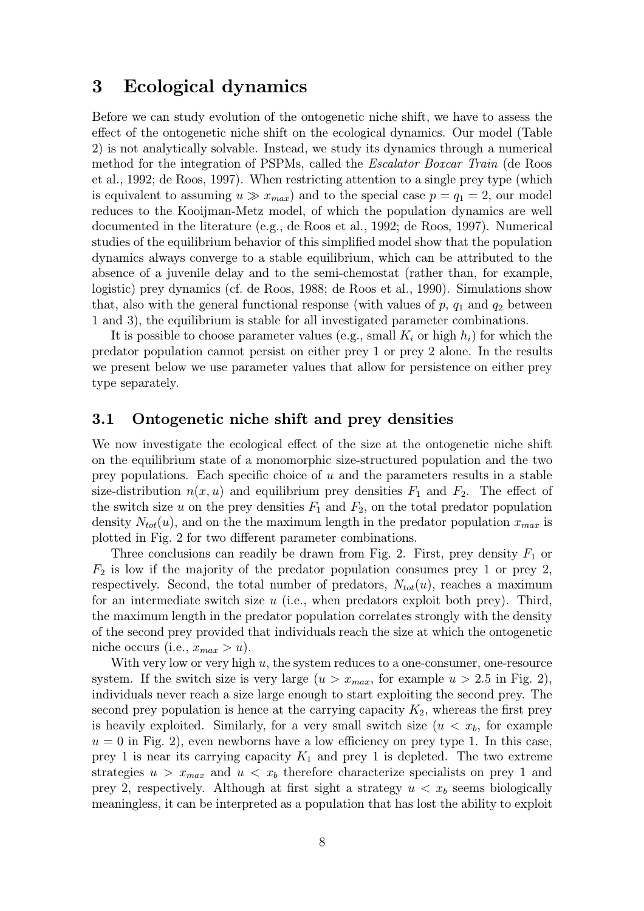### 3 Ecological dynamics

Before we can study evolution of the ontogenetic niche shift, we have to assess the effect of the ontogenetic niche shift on the ecological dynamics. Our model (Table 2) is not analytically solvable. Instead, we study its dynamics through a numerical method for the integration of PSPMs, called the Escalator Boxcar Train (de Roos et al., 1992; de Roos, 1997). When restricting attention to a single prey type (which is equivalent to assuming  $u \gg x_{max}$  and to the special case  $p = q_1 = 2$ , our model reduces to the Kooijman-Metz model, of which the population dynamics are well documented in the literature (e.g., de Roos et al., 1992; de Roos, 1997). Numerical studies of the equilibrium behavior of this simplified model show that the population dynamics always converge to a stable equilibrium, which can be attributed to the absence of a juvenile delay and to the semi-chemostat (rather than, for example, logistic) prey dynamics (cf. de Roos, 1988; de Roos et al., 1990). Simulations show that, also with the general functional response (with values of  $p$ ,  $q_1$  and  $q_2$  between 1 and 3), the equilibrium is stable for all investigated parameter combinations.

It is possible to choose parameter values (e.g., small  $K_i$  or high  $h_i$ ) for which the predator population cannot persist on either prey 1 or prey 2 alone. In the results we present below we use parameter values that allow for persistence on either prey type separately.

#### 3.1 Ontogenetic niche shift and prey densities

We now investigate the ecological effect of the size at the ontogenetic niche shift on the equilibrium state of a monomorphic size-structured population and the two prey populations. Each specific choice of  $u$  and the parameters results in a stable size-distribution  $n(x, u)$  and equilibrium prey densities  $F_1$  and  $F_2$ . The effect of the switch size u on the prey densities  $F_1$  and  $F_2$ , on the total predator population density  $N_{tot}(u)$ , and on the the maximum length in the predator population  $x_{max}$  is plotted in Fig. 2 for two different parameter combinations.

Three conclusions can readily be drawn from Fig. 2. First, prey density  $F_1$  or  $F_2$  is low if the majority of the predator population consumes prey 1 or prey 2, respectively. Second, the total number of predators,  $N_{tot}(u)$ , reaches a maximum for an intermediate switch size  $u$  (i.e., when predators exploit both prey). Third, the maximum length in the predator population correlates strongly with the density of the second prey provided that individuals reach the size at which the ontogenetic niche occurs (i.e.,  $x_{max} > u$ ).

With very low or very high  $u$ , the system reduces to a one-consumer, one-resource system. If the switch size is very large  $(u > x_{max}$ , for example  $u > 2.5$  in Fig. 2), individuals never reach a size large enough to start exploiting the second prey. The second prey population is hence at the carrying capacity  $K_2$ , whereas the first prey is heavily exploited. Similarly, for a very small switch size  $(u < x<sub>b</sub>)$ , for example  $u = 0$  in Fig. 2), even newborns have a low efficiency on prey type 1. In this case, prey 1 is near its carrying capacity  $K_1$  and prey 1 is depleted. The two extreme strategies  $u > x_{max}$  and  $u < x_b$  therefore characterize specialists on prey 1 and prey 2, respectively. Although at first sight a strategy  $u < x_b$  seems biologically meaningless, it can be interpreted as a population that has lost the ability to exploit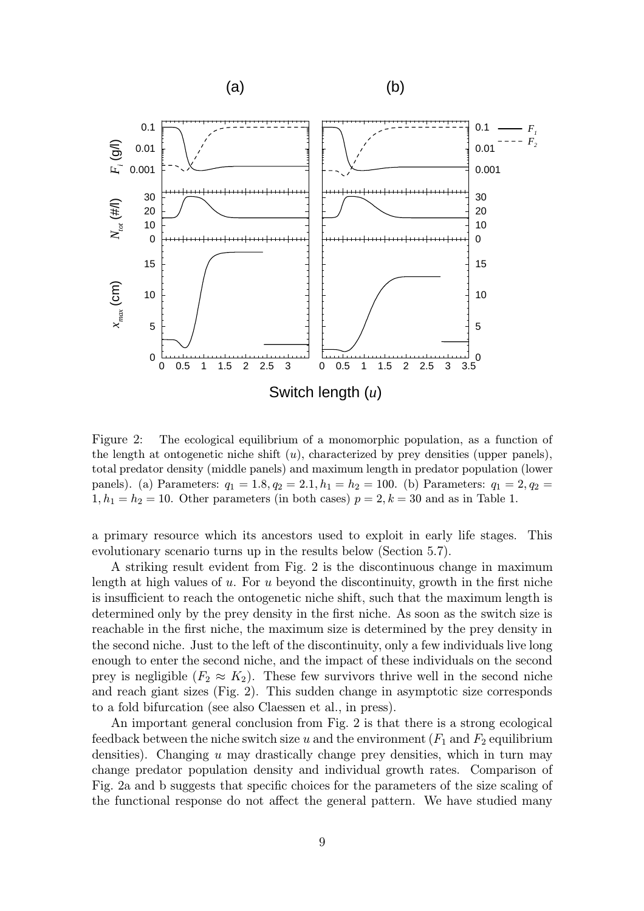

Figure 2: The ecological equilibrium of a monomorphic population, as a function of the length at ontogenetic niche shift  $(u)$ , characterized by prey densities (upper panels), total predator density (middle panels) and maximum length in predator population (lower panels). (a) Parameters:  $q_1 = 1.8, q_2 = 2.1, h_1 = h_2 = 100$ . (b) Parameters:  $q_1 = 2, q_2 =$  $1, h_1 = h_2 = 10$ . Other parameters (in both cases)  $p = 2, k = 30$  and as in Table 1.

a primary resource which its ancestors used to exploit in early life stages. This evolutionary scenario turns up in the results below (Section 5.7).

A striking result evident from Fig. 2 is the discontinuous change in maximum length at high values of u. For u beyond the discontinuity, growth in the first niche is insufficient to reach the ontogenetic niche shift, such that the maximum length is determined only by the prey density in the first niche. As soon as the switch size is reachable in the first niche, the maximum size is determined by the prey density in the second niche. Just to the left of the discontinuity, only a few individuals live long enough to enter the second niche, and the impact of these individuals on the second prey is negligible  $(F_2 \approx K_2)$ . These few survivors thrive well in the second niche and reach giant sizes (Fig. 2). This sudden change in asymptotic size corresponds to a fold bifurcation (see also Claessen et al., in press).

An important general conclusion from Fig. 2 is that there is a strong ecological feedback between the niche switch size u and the environment  $(F_1$  and  $F_2$  equilibrium densities). Changing  $u$  may drastically change prey densities, which in turn may change predator population density and individual growth rates. Comparison of Fig. 2a and b suggests that specific choices for the parameters of the size scaling of the functional response do not affect the general pattern. We have studied many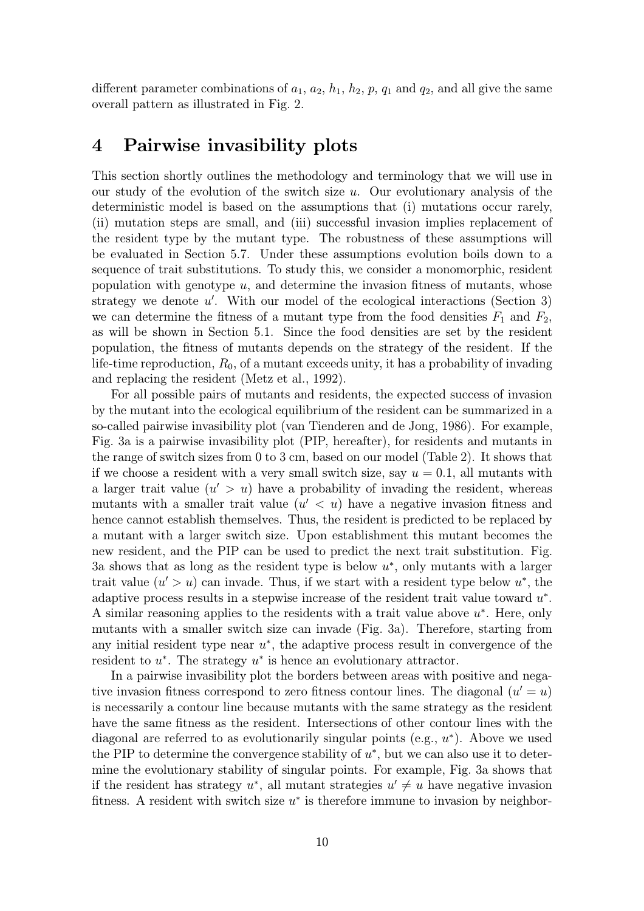different parameter combinations of  $a_1$ ,  $a_2$ ,  $h_1$ ,  $h_2$ ,  $p$ ,  $q_1$  and  $q_2$ , and all give the same overall pattern as illustrated in Fig. 2.

### 4 Pairwise invasibility plots

This section shortly outlines the methodology and terminology that we will use in our study of the evolution of the switch size  $u$ . Our evolutionary analysis of the deterministic model is based on the assumptions that (i) mutations occur rarely, (ii) mutation steps are small, and (iii) successful invasion implies replacement of the resident type by the mutant type. The robustness of these assumptions will be evaluated in Section 5.7. Under these assumptions evolution boils down to a sequence of trait substitutions. To study this, we consider a monomorphic, resident population with genotype  $u$ , and determine the invasion fitness of mutants, whose strategy we denote  $u'$ . With our model of the ecological interactions (Section 3) we can determine the fitness of a mutant type from the food densities  $F_1$  and  $F_2$ , as will be shown in Section 5.1. Since the food densities are set by the resident population, the fitness of mutants depends on the strategy of the resident. If the life-time reproduction,  $R_0$ , of a mutant exceeds unity, it has a probability of invading and replacing the resident (Metz et al., 1992).

For all possible pairs of mutants and residents, the expected success of invasion by the mutant into the ecological equilibrium of the resident can be summarized in a so-called pairwise invasibility plot (van Tienderen and de Jong, 1986). For example, Fig. 3a is a pairwise invasibility plot (PIP, hereafter), for residents and mutants in the range of switch sizes from 0 to 3 cm, based on our model (Table 2). It shows that if we choose a resident with a very small switch size, say  $u = 0.1$ , all mutants with a larger trait value  $(u' > u)$  have a probability of invading the resident, whereas mutants with a smaller trait value  $(u' < u)$  have a negative invasion fitness and hence cannot establish themselves. Thus, the resident is predicted to be replaced by a mutant with a larger switch size. Upon establishment this mutant becomes the new resident, and the PIP can be used to predict the next trait substitution. Fig. 3a shows that as long as the resident type is below  $u^*$ , only mutants with a larger trait value  $(u' > u)$  can invade. Thus, if we start with a resident type below  $u^*$ , the adaptive process results in a stepwise increase of the resident trait value toward u∗. A similar reasoning applies to the residents with a trait value above  $u^*$ . Here, only mutants with a smaller switch size can invade (Fig. 3a). Therefore, starting from any initial resident type near  $u^*$ , the adaptive process result in convergence of the resident to  $u^*$ . The strategy  $u^*$  is hence an evolutionary attractor.

In a pairwise invasibility plot the borders between areas with positive and negative invasion fitness correspond to zero fitness contour lines. The diagonal  $(u' = u)$ is necessarily a contour line because mutants with the same strategy as the resident have the same fitness as the resident. Intersections of other contour lines with the diagonal are referred to as evolutionarily singular points (e.g.,  $u^*$ ). Above we used the PIP to determine the convergence stability of  $u^*$ , but we can also use it to determine the evolutionary stability of singular points. For example, Fig. 3a shows that if the resident has strategy  $u^*$ , all mutant strategies  $u' \neq u$  have negative invasion fitness. A resident with switch size  $u^*$  is therefore immune to invasion by neighbor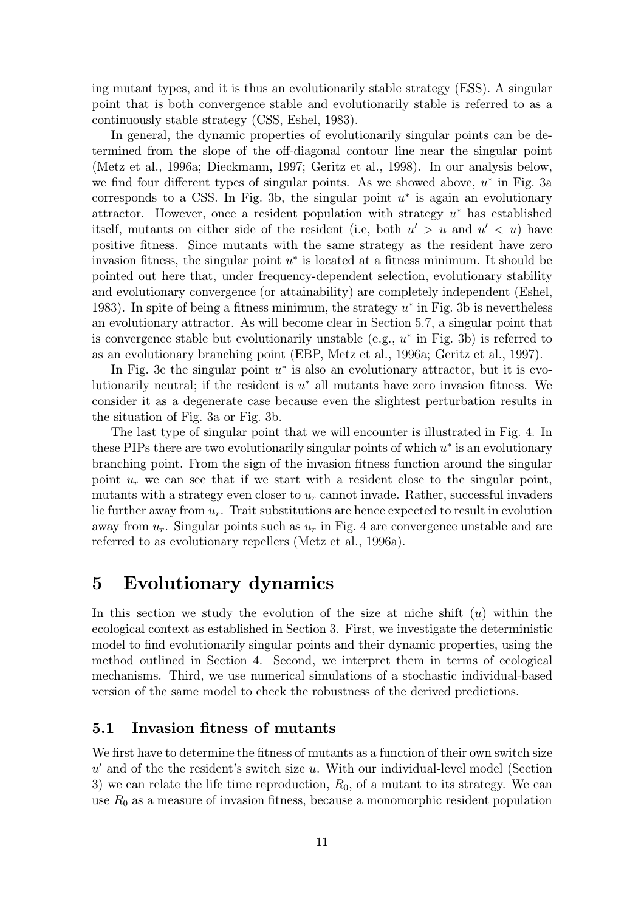ing mutant types, and it is thus an evolutionarily stable strategy (ESS). A singular point that is both convergence stable and evolutionarily stable is referred to as a continuously stable strategy (CSS, Eshel, 1983).

In general, the dynamic properties of evolutionarily singular points can be determined from the slope of the off-diagonal contour line near the singular point (Metz et al., 1996a; Dieckmann, 1997; Geritz et al., 1998). In our analysis below, we find four different types of singular points. As we showed above,  $u^*$  in Fig. 3a corresponds to a CSS. In Fig. 3b, the singular point  $u^*$  is again an evolutionary attractor. However, once a resident population with strategy u<sup>∗</sup> has established itself, mutants on either side of the resident (i.e, both  $u' > u$  and  $u' < u$ ) have positive fitness. Since mutants with the same strategy as the resident have zero invasion fitness, the singular point  $u^*$  is located at a fitness minimum. It should be pointed out here that, under frequency-dependent selection, evolutionary stability and evolutionary convergence (or attainability) are completely independent (Eshel, 1983). In spite of being a fitness minimum, the strategy  $u^*$  in Fig. 3b is nevertheless an evolutionary attractor. As will become clear in Section 5.7, a singular point that is convergence stable but evolutionarily unstable (e.g.,  $u^*$  in Fig. 3b) is referred to as an evolutionary branching point (EBP, Metz et al., 1996a; Geritz et al., 1997).

In Fig. 3c the singular point  $u^*$  is also an evolutionary attractor, but it is evolutionarily neutral; if the resident is  $u^*$  all mutants have zero invasion fitness. We consider it as a degenerate case because even the slightest perturbation results in the situation of Fig. 3a or Fig. 3b.

The last type of singular point that we will encounter is illustrated in Fig. 4. In these PIPs there are two evolutionarily singular points of which  $u^*$  is an evolutionary branching point. From the sign of the invasion fitness function around the singular point  $u_r$  we can see that if we start with a resident close to the singular point, mutants with a strategy even closer to  $u_r$  cannot invade. Rather, successful invaders lie further away from  $u_r$ . Trait substitutions are hence expected to result in evolution away from  $u_r$ . Singular points such as  $u_r$  in Fig. 4 are convergence unstable and are referred to as evolutionary repellers (Metz et al., 1996a).

# 5Evolutionary dynamics

In this section we study the evolution of the size at niche shift  $(u)$  within the ecological context as established in Section 3. First, we investigate the deterministic model to find evolutionarily singular points and their dynamic properties, using the method outlined in Section 4. Second, we interpret them in terms of ecological mechanisms. Third, we use numerical simulations of a stochastic individual-based version of the same model to check the robustness of the derived predictions.

#### 5.1 Invasion fitness of mutants

We first have to determine the fitness of mutants as a function of their own switch size  $u'$  and of the the resident's switch size u. With our individual-level model (Section 3) we can relate the life time reproduction,  $R_0$ , of a mutant to its strategy. We can use  $R_0$  as a measure of invasion fitness, because a monomorphic resident population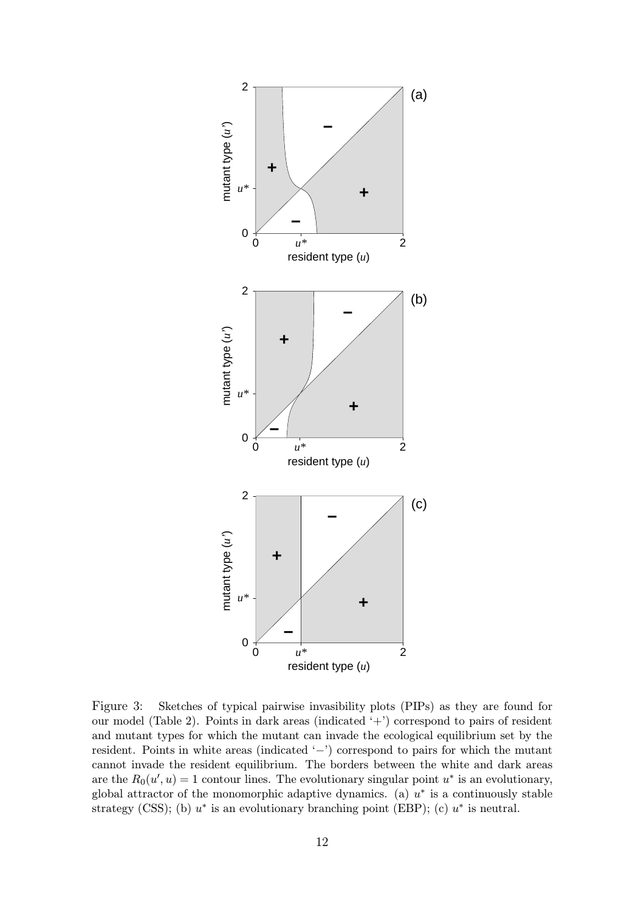

Figure 3: Sketches of typical pairwise invasibility plots (PIPs) as they are found for our model (Table 2). Points in dark areas (indicated '+') correspond to pairs of resident and mutant types for which the mutant can invade the ecological equilibrium set by the resident. Points in white areas (indicated '−') correspond to pairs for which the mutant cannot invade the resident equilibrium. The borders between the white and dark areas are the  $R_0(u', u) = 1$  contour lines. The evolutionary singular point  $u^*$  is an evolutionary, global attractor of the monomorphic adaptive dynamics. (a)  $u^*$  is a continuously stable strategy (CSS); (b)  $u^*$  is an evolutionary branching point (EBP); (c)  $u^*$  is neutral.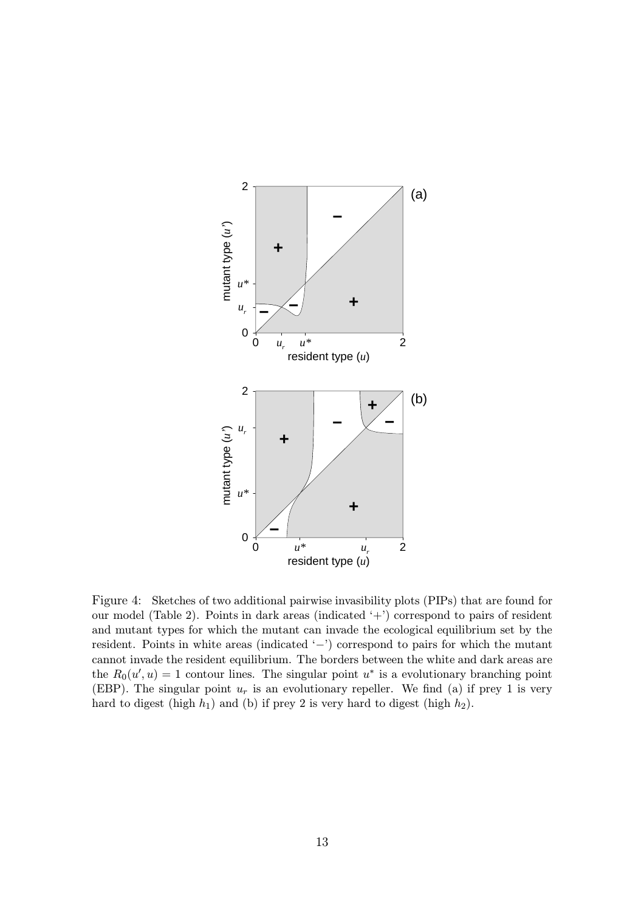

Figure 4: Sketches of two additional pairwise invasibility plots (PIPs) that are found for our model (Table 2). Points in dark areas (indicated '+') correspond to pairs of resident and mutant types for which the mutant can invade the ecological equilibrium set by the resident. Points in white areas (indicated '−') correspond to pairs for which the mutant cannot invade the resident equilibrium. The borders between the white and dark areas are the  $R_0(u', u) = 1$  contour lines. The singular point  $u^*$  is a evolutionary branching point (EBP). The singular point  $u_r$  is an evolutionary repeller. We find (a) if prey 1 is very hard to digest (high  $h_1$ ) and (b) if prey 2 is very hard to digest (high  $h_2$ ).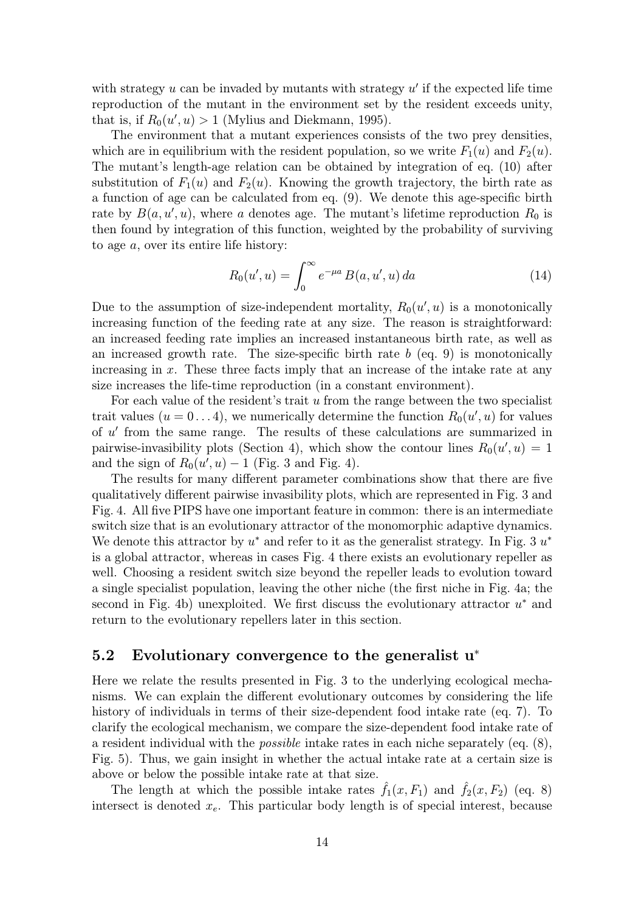with strategy  $u$  can be invaded by mutants with strategy  $u'$  if the expected life time reproduction of the mutant in the environment set by the resident exceeds unity, that is, if  $R_0(u', u) > 1$  (Mylius and Diekmann, 1995).

The environment that a mutant experiences consists of the two prey densities, which are in equilibrium with the resident population, so we write  $F_1(u)$  and  $F_2(u)$ . The mutant's length-age relation can be obtained by integration of eq. (10) after substitution of  $F_1(u)$  and  $F_2(u)$ . Knowing the growth trajectory, the birth rate as a function of age can be calculated from eq. (9). We denote this age-specific birth rate by  $B(a, u', u)$ , where a denotes age. The mutant's lifetime reproduction  $R_0$  is then found by integration of this function, weighted by the probability of surviving to age a, over its entire life history:

$$
R_0(u', u) = \int_0^\infty e^{-\mu a} B(a, u', u) \, da \tag{14}
$$

Due to the assumption of size-independent mortality,  $R_0(u', u)$  is a monotonically increasing function of the feeding rate at any size. The reason is straightforward: an increased feeding rate implies an increased instantaneous birth rate, as well as an increased growth rate. The size-specific birth rate  $b$  (eq. 9) is monotonically increasing in  $x$ . These three facts imply that an increase of the intake rate at any size increases the life-time reproduction (in a constant environment).

For each value of the resident's trait  $u$  from the range between the two specialist trait values  $(u = 0 \ldots 4)$ , we numerically determine the function  $R_0(u', u)$  for values of  $u'$  from the same range. The results of these calculations are summarized in pairwise-invasibility plots (Section 4), which show the contour lines  $R_0(u', u) = 1$ and the sign of  $R_0(u', u) - 1$  (Fig. 3 and Fig. 4).

The results for many different parameter combinations show that there are five qualitatively different pairwise invasibility plots, which are represented in Fig. 3 and Fig. 4. All five PIPS have one important feature in common: there is an intermediate switch size that is an evolutionary attractor of the monomorphic adaptive dynamics. We denote this attractor by  $u^*$  and refer to it as the generalist strategy. In Fig. 3  $u^*$ is a global attractor, whereas in cases Fig. 4 there exists an evolutionary repeller as well. Choosing a resident switch size beyond the repeller leads to evolution toward a single specialist population, leaving the other niche (the first niche in Fig. 4a; the second in Fig. 4b) unexploited. We first discuss the evolutionary attractor  $u^*$  and return to the evolutionary repellers later in this section.

#### 5.2 Evolutionary convergence to the generalist u<sup>∗</sup>

Here we relate the results presented in Fig. 3 to the underlying ecological mechanisms. We can explain the different evolutionary outcomes by considering the life history of individuals in terms of their size-dependent food intake rate (eq. 7). To clarify the ecological mechanism, we compare the size-dependent food intake rate of a resident individual with the *possible* intake rates in each niche separately (eq.  $(8)$ , Fig. 5). Thus, we gain insight in whether the actual intake rate at a certain size is above or below the possible intake rate at that size.

The length at which the possible intake rates  $f_1(x, F_1)$  and  $f_2(x, F_2)$  (eq. 8) intersect is denoted  $x_e$ . This particular body length is of special interest, because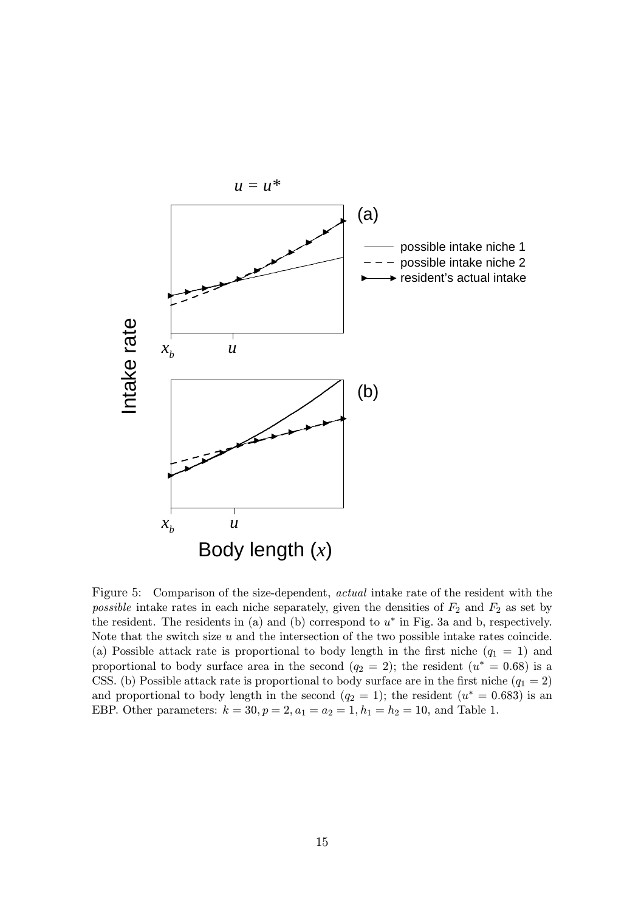

Figure 5: Comparison of the size-dependent, actual intake rate of the resident with the possible intake rates in each niche separately, given the densities of  $F_2$  and  $F_2$  as set by the resident. The residents in (a) and (b) correspond to  $u^*$  in Fig. 3a and b, respectively. Note that the switch size  $u$  and the intersection of the two possible intake rates coincide. (a) Possible attack rate is proportional to body length in the first niche  $(q_1 = 1)$  and proportional to body surface area in the second  $(q_2 = 2)$ ; the resident  $(u^* = 0.68)$  is a CSS. (b) Possible attack rate is proportional to body surface are in the first niche ( $q_1 = 2$ ) and proportional to body length in the second  $(q_2 = 1)$ ; the resident  $(u^* = 0.683)$  is an EBP. Other parameters:  $k = 30, p = 2, a_1 = a_2 = 1, h_1 = h_2 = 10$ , and Table 1.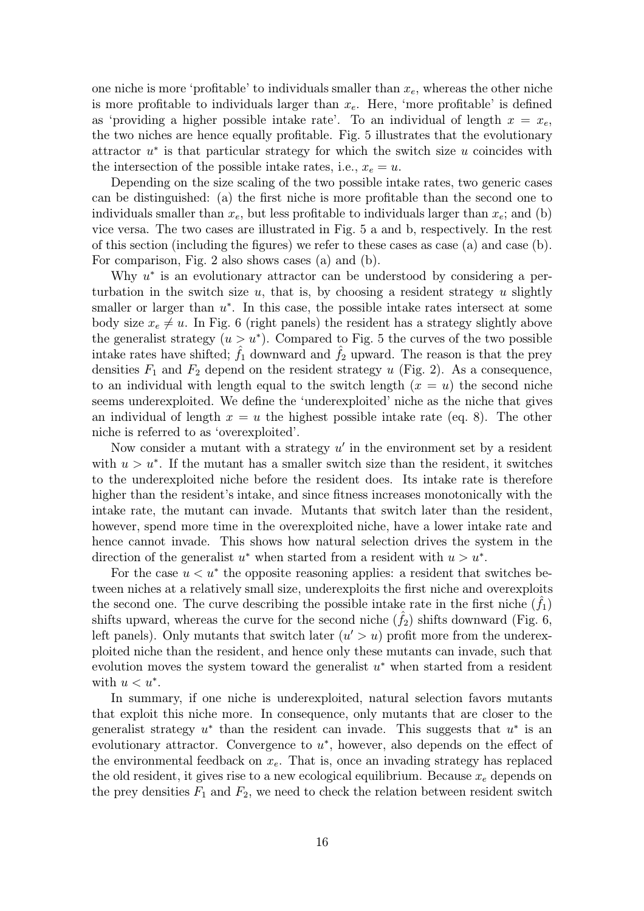one niche is more 'profitable' to individuals smaller than  $x_e$ , whereas the other niche is more profitable to individuals larger than  $x_e$ . Here, 'more profitable' is defined as 'providing a higher possible intake rate'. To an individual of length  $x = x_e$ , the two niches are hence equally profitable. Fig. 5 illustrates that the evolutionary attractor  $u^*$  is that particular strategy for which the switch size u coincides with the intersection of the possible intake rates, i.e.,  $x_e = u$ .

Depending on the size scaling of the two possible intake rates, two generic cases can be distinguished: (a) the first niche is more profitable than the second one to individuals smaller than  $x_e$ , but less profitable to individuals larger than  $x_e$ ; and (b) vice versa. The two cases are illustrated in Fig. 5 a and b, respectively. In the rest of this section (including the figures) we refer to these cases as case (a) and case (b). For comparison, Fig. 2 also shows cases (a) and (b).

Why  $u^*$  is an evolutionary attractor can be understood by considering a perturbation in the switch size  $u$ , that is, by choosing a resident strategy  $u$  slightly smaller or larger than  $u^*$ . In this case, the possible intake rates intersect at some body size  $x_e \neq u$ . In Fig. 6 (right panels) the resident has a strategy slightly above the generalist strategy  $(u>u^*)$ . Compared to Fig. 5 the curves of the two possible intake rates have shifted;  $f_1$  downward and  $f_2$  upward. The reason is that the prey densities  $F_1$  and  $F_2$  depend on the resident strategy u (Fig. 2). As a consequence, to an individual with length equal to the switch length  $(x = u)$  the second niche seems underexploited. We define the 'underexploited' niche as the niche that gives an individual of length  $x = u$  the highest possible intake rate (eq. 8). The other niche is referred to as 'overexploited'.

Now consider a mutant with a strategy  $u'$  in the environment set by a resident with  $u>u^*$ . If the mutant has a smaller switch size than the resident, it switches to the underexploited niche before the resident does. Its intake rate is therefore higher than the resident's intake, and since fitness increases monotonically with the intake rate, the mutant can invade. Mutants that switch later than the resident, however, spend more time in the overexploited niche, have a lower intake rate and hence cannot invade. This shows how natural selection drives the system in the direction of the generalist u<sup>\*</sup> when started from a resident with  $u>u^*$ .

For the case  $u < u^*$  the opposite reasoning applies: a resident that switches between niches at a relatively small size, underexploits the first niche and overexploits the second one. The curve describing the possible intake rate in the first niche  $(f_1)$ shifts upward, whereas the curve for the second niche  $(f_2)$  shifts downward (Fig. 6, left panels). Only mutants that switch later  $(u' > u)$  profit more from the underexploited niche than the resident, and hence only these mutants can invade, such that evolution moves the system toward the generalist  $u^*$  when started from a resident with  $u < u^*$ .

In summary, if one niche is underexploited, natural selection favors mutants that exploit this niche more. In consequence, only mutants that are closer to the generalist strategy  $u^*$  than the resident can invade. This suggests that  $u^*$  is an evolutionary attractor. Convergence to  $u^*$ , however, also depends on the effect of the environmental feedback on  $x_e$ . That is, once an invading strategy has replaced the old resident, it gives rise to a new ecological equilibrium. Because  $x_e$  depends on the prey densities  $F_1$  and  $F_2$ , we need to check the relation between resident switch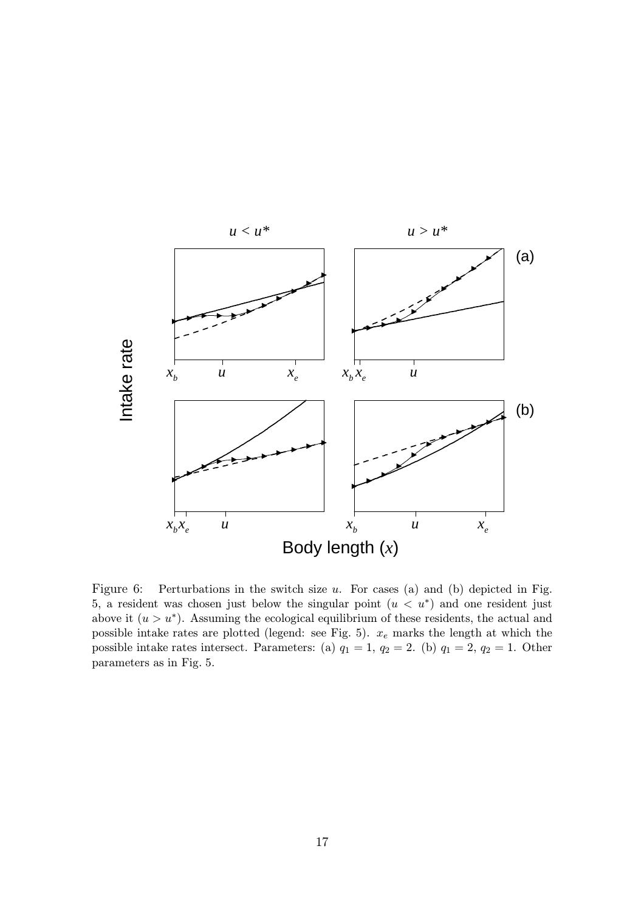

Figure 6: Perturbations in the switch size  $u$ . For cases (a) and (b) depicted in Fig. 5, a resident was chosen just below the singular point  $(u < u^*)$  and one resident just above it  $(u>u^*)$ . Assuming the ecological equilibrium of these residents, the actual and possible intake rates are plotted (legend: see Fig. 5).  $x_e$  marks the length at which the possible intake rates intersect. Parameters: (a)  $q_1 = 1$ ,  $q_2 = 2$ . (b)  $q_1 = 2$ ,  $q_2 = 1$ . Other parameters as in Fig. 5.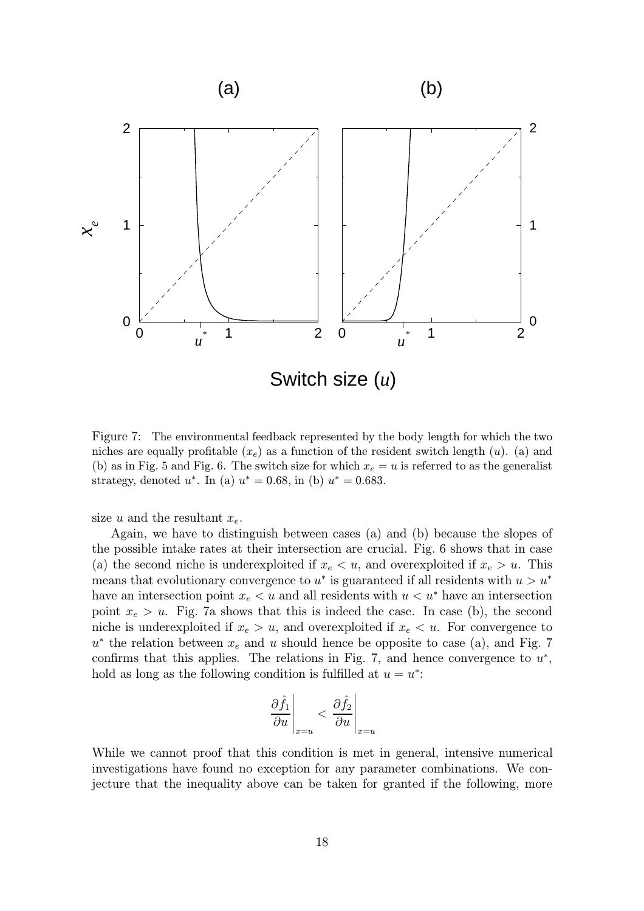

Figure 7: The environmental feedback represented by the body length for which the two niches are equally profitable  $(x_e)$  as a function of the resident switch length  $(u)$ . (a) and (b) as in Fig. 5 and Fig. 6. The switch size for which  $x_e = u$  is referred to as the generalist strategy, denoted  $u^*$ . In (a)  $u^* = 0.68$ , in (b)  $u^* = 0.683$ .

size u and the resultant  $x_e$ .

Again, we have to distinguish between cases (a) and (b) because the slopes of the possible intake rates at their intersection are crucial. Fig. 6 shows that in case (a) the second niche is underexploited if  $x_e < u$ , and overexploited if  $x_e > u$ . This means that evolutionary convergence to  $u^*$  is guaranteed if all residents with  $u>u^*$ have an intersection point  $x_e < u$  and all residents with  $u < u^*$  have an intersection point  $x_e > u$ . Fig. 7a shows that this is indeed the case. In case (b), the second niche is underexploited if  $x_e > u$ , and overexploited if  $x_e < u$ . For convergence to  $u^*$  the relation between  $x_e$  and u should hence be opposite to case (a), and Fig. 7 confirms that this applies. The relations in Fig. 7, and hence convergence to  $u^*$ , hold as long as the following condition is fulfilled at  $u = u^*$ :

$$
\left. \frac{\partial \hat{f}_1}{\partial u} \right|_{x=u} < \left. \frac{\partial \hat{f}_2}{\partial u} \right|_{x=u}
$$

While we cannot proof that this condition is met in general, intensive numerical investigations have found no exception for any parameter combinations. We conjecture that the inequality above can be taken for granted if the following, more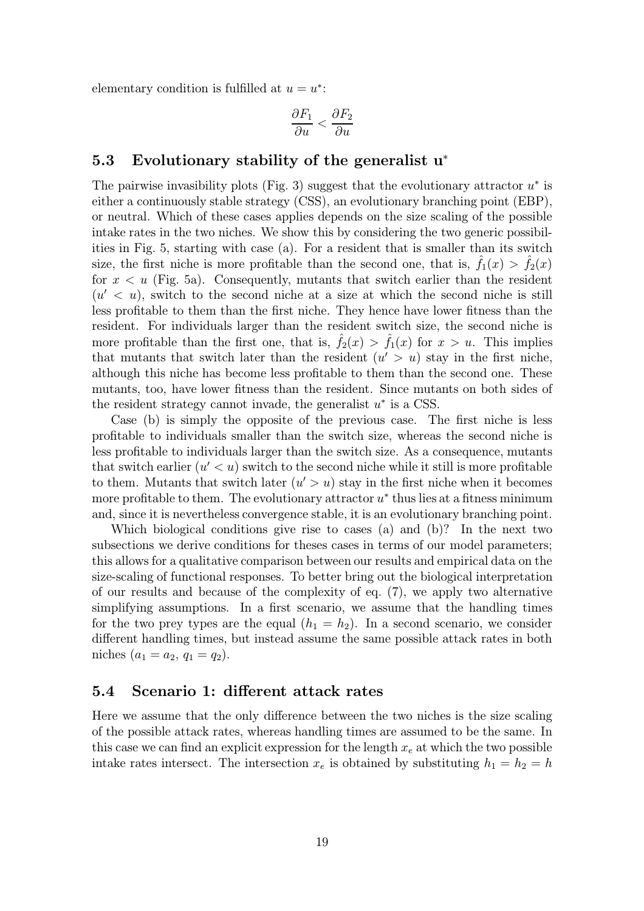elementary condition is fulfilled at  $u = u^*$ :

$$
\frac{\partial F_1}{\partial u} < \frac{\partial F_2}{\partial u}
$$

#### 5.3 Evolutionary stability of the generalist u<sup>∗</sup>

The pairwise invasibility plots (Fig. 3) suggest that the evolutionary attractor  $u^*$  is either a continuously stable strategy (CSS), an evolutionary branching point (EBP), or neutral. Which of these cases applies depends on the size scaling of the possible intake rates in the two niches. We show this by considering the two generic possibilities in Fig. 5, starting with case (a). For a resident that is smaller than its switch size, the first niche is more profitable than the second one, that is,  $f_1(x) > f_2(x)$ for  $x < u$  (Fig. 5a). Consequently, mutants that switch earlier than the resident  $(u' < u)$ , switch to the second niche at a size at which the second niche is still less profitable to them than the first niche. They hence have lower fitness than the resident. For individuals larger than the resident switch size, the second niche is more profitable than the first one, that is,  $f_2(x) > f_1(x)$  for  $x > u$ . This implies that mutants that switch later than the resident  $(u' > u)$  stay in the first niche, although this niche has become less profitable to them than the second one. These mutants, too, have lower fitness than the resident. Since mutants on both sides of the resident strategy cannot invade, the generalist  $u^*$  is a CSS.

Case (b) is simply the opposite of the previous case. The first niche is less profitable to individuals smaller than the switch size, whereas the second niche is less profitable to individuals larger than the switch size. As a consequence, mutants that switch earlier  $(u' < u)$  switch to the second niche while it still is more profitable to them. Mutants that switch later  $(u' > u)$  stay in the first niche when it becomes more profitable to them. The evolutionary attractor  $u^*$  thus lies at a fitness minimum and, since it is nevertheless convergence stable, it is an evolutionary branching point.

Which biological conditions give rise to cases (a) and (b)? In the next two subsections we derive conditions for theses cases in terms of our model parameters; this allows for a qualitative comparison between our results and empirical data on the size-scaling of functional responses. To better bring out the biological interpretation of our results and because of the complexity of eq. (7), we apply two alternative simplifying assumptions. In a first scenario, we assume that the handling times for the two prey types are the equal  $(h_1 = h_2)$ . In a second scenario, we consider different handling times, but instead assume the same possible attack rates in both niches  $(a_1 = a_2, q_1 = q_2).$ 

#### 5.4 Scenario 1: different attack rates

Here we assume that the only difference between the two niches is the size scaling of the possible attack rates, whereas handling times are assumed to be the same. In this case we can find an explicit expression for the length  $x_e$  at which the two possible intake rates intersect. The intersection  $x_e$  is obtained by substituting  $h_1 = h_2 = h$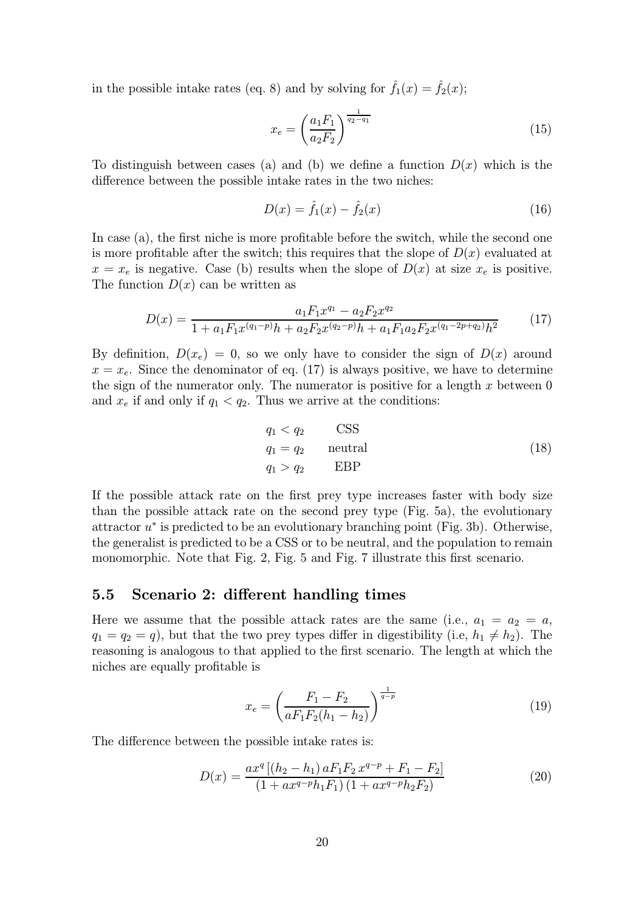in the possible intake rates (eq. 8) and by solving for  $\hat{f}_1(x) = \hat{f}_2(x)$ ;

$$
x_e = \left(\frac{a_1 F_1}{a_2 F_2}\right)^{\frac{1}{q_2 - q_1}}\tag{15}
$$

To distinguish between cases (a) and (b) we define a function  $D(x)$  which is the difference between the possible intake rates in the two niches:

$$
D(x) = \hat{f}_1(x) - \hat{f}_2(x)
$$
 (16)

In case (a), the first niche is more profitable before the switch, while the second one is more profitable after the switch; this requires that the slope of  $D(x)$  evaluated at  $x = x_e$  is negative. Case (b) results when the slope of  $D(x)$  at size  $x_e$  is positive. The function  $D(x)$  can be written as

$$
D(x) = \frac{a_1 F_1 x^{q_1} - a_2 F_2 x^{q_2}}{1 + a_1 F_1 x^{(q_1 - p)} h + a_2 F_2 x^{(q_2 - p)} h + a_1 F_1 a_2 F_2 x^{(q_1 - 2p + q_2)} h^2}
$$
(17)

By definition,  $D(x_e) = 0$ , so we only have to consider the sign of  $D(x)$  around  $x = x<sub>e</sub>$ . Since the denominator of eq. (17) is always positive, we have to determine the sign of the numerator only. The numerator is positive for a length  $x$  between  $0$ and  $x_e$  if and only if  $q_1 < q_2$ . Thus we arrive at the conditions:

$$
q_1 < q_2 \qquad \text{CSS} q_1 = q_2 \qquad \text{neutral} q_1 > q_2 \qquad \text{EBP} \tag{18}
$$

If the possible attack rate on the first prey type increases faster with body size than the possible attack rate on the second prey type (Fig. 5a), the evolutionary attractor  $u^*$  is predicted to be an evolutionary branching point (Fig. 3b). Otherwise, the generalist is predicted to be a CSS or to be neutral, and the population to remain monomorphic. Note that Fig. 2, Fig. 5 and Fig. 7 illustrate this first scenario.

#### 5.5 Scenario 2: different handling times

Here we assume that the possible attack rates are the same (i.e.,  $a_1 = a_2 = a$ ,  $q_1 = q_2 = q$ , but that the two prey types differ in digestibility (i.e,  $h_1 \neq h_2$ ). The reasoning is analogous to that applied to the first scenario. The length at which the niches are equally profitable is

$$
x_e = \left(\frac{F_1 - F_2}{aF_1F_2(h_1 - h_2)}\right)^{\frac{1}{q-p}}
$$
\n(19)

The difference between the possible intake rates is:

$$
D(x) = \frac{ax^q \left[ (h_2 - h_1) a F_1 F_2 x^{q-p} + F_1 - F_2 \right]}{(1 + ax^{q-p} h_1 F_1) (1 + ax^{q-p} h_2 F_2)}
$$
(20)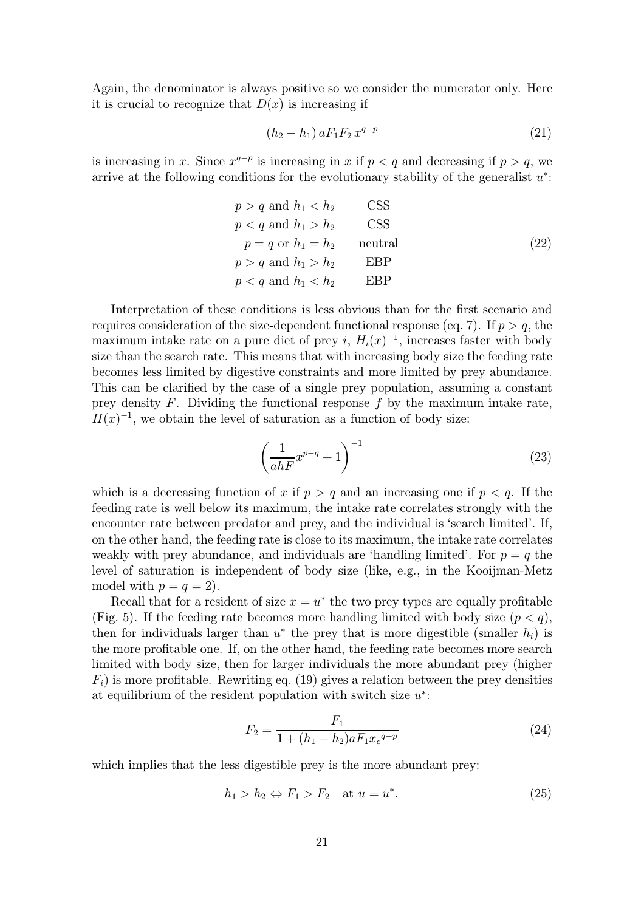Again, the denominator is always positive so we consider the numerator only. Here it is crucial to recognize that  $D(x)$  is increasing if

$$
(h_2 - h_1) a F_1 F_2 x^{q-p}
$$
\n(21)

is increasing in x. Since  $x^{q-p}$  is increasing in x if  $p < q$  and decreasing if  $p > q$ , we arrive at the following conditions for the evolutionary stability of the generalist  $u^*$ :

$$
p > q \text{ and } h_1 < h_2
$$
 CSS  
\n
$$
p < q \text{ and } h_1 > h_2
$$
 CSS  
\n
$$
p = q \text{ or } h_1 = h_2
$$
 neutral  
\n
$$
p > q \text{ and } h_1 > h_2
$$
 EBP  
\n
$$
p < q \text{ and } h_1 < h_2
$$
 EBP

Interpretation of these conditions is less obvious than for the first scenario and requires consideration of the size-dependent functional response (eq. 7). If  $p > q$ , the maximum intake rate on a pure diet of prey i,  $H_i(x)^{-1}$ , increases faster with body size than the search rate. This means that with increasing body size the feeding rate becomes less limited by digestive constraints and more limited by prey abundance. This can be clarified by the case of a single prey population, assuming a constant prey density  $F$ . Dividing the functional response  $f$  by the maximum intake rate,  $H(x)^{-1}$ , we obtain the level of saturation as a function of body size:

$$
\left(\frac{1}{ahF}x^{p-q} + 1\right)^{-1} \tag{23}
$$

which is a decreasing function of x if  $p>q$  and an increasing one if  $p. If the$ feeding rate is well below its maximum, the intake rate correlates strongly with the encounter rate between predator and prey, and the individual is 'search limited'. If, on the other hand, the feeding rate is close to its maximum, the intake rate correlates weakly with prey abundance, and individuals are 'handling limited'. For  $p = q$  the level of saturation is independent of body size (like, e.g., in the Kooijman-Metz model with  $p = q = 2$ .

Recall that for a resident of size  $x = u^*$  the two prey types are equally profitable (Fig. 5). If the feeding rate becomes more handling limited with body size  $(p < q)$ , then for individuals larger than  $u^*$  the prey that is more digestible (smaller  $h_i$ ) is the more profitable one. If, on the other hand, the feeding rate becomes more search limited with body size, then for larger individuals the more abundant prey (higher  $F_i$ ) is more profitable. Rewriting eq. (19) gives a relation between the prey densities at equilibrium of the resident population with switch size  $u^*$ :

$$
F_2 = \frac{F_1}{1 + (h_1 - h_2)aF_1x_e^{q-p}}
$$
\n(24)

which implies that the less digestible prey is the more abundant prey:

$$
h_1 > h_2 \Leftrightarrow F_1 > F_2 \quad \text{at } u = u^* \tag{25}
$$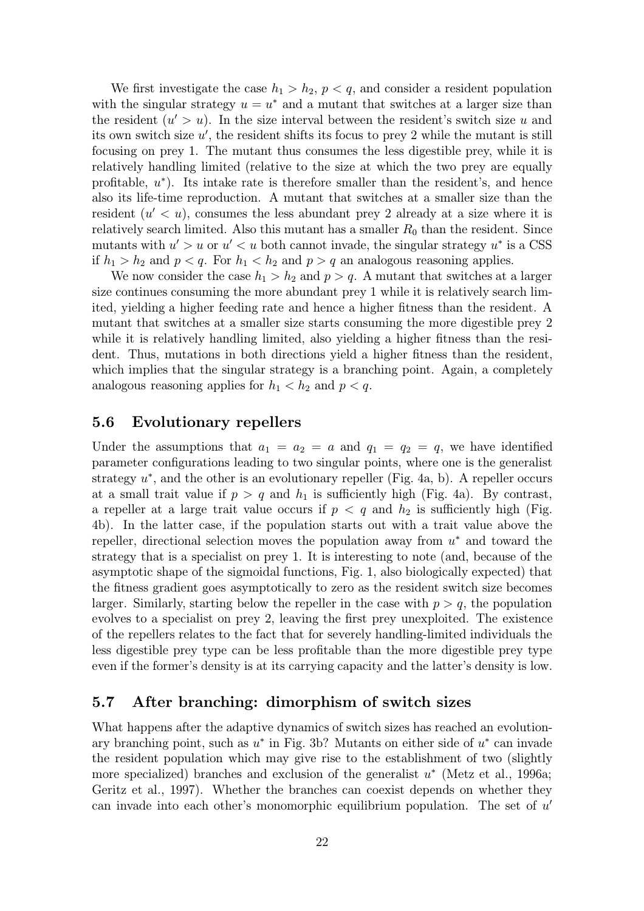We first investigate the case  $h_1 > h_2$ ,  $p < q$ , and consider a resident population with the singular strategy  $u = u^*$  and a mutant that switches at a larger size than the resident  $(u' > u)$ . In the size interval between the resident's switch size u and its own switch size  $u'$ , the resident shifts its focus to prey 2 while the mutant is still focusing on prey 1. The mutant thus consumes the less digestible prey, while it is relatively handling limited (relative to the size at which the two prey are equally profitable,  $u^*$ ). Its intake rate is therefore smaller than the resident's, and hence also its life-time reproduction. A mutant that switches at a smaller size than the resident  $(u' < u)$ , consumes the less abundant prey 2 already at a size where it is relatively search limited. Also this mutant has a smaller  $R_0$  than the resident. Since mutants with  $u' > u$  or  $u' < u$  both cannot invade, the singular strategy  $u^*$  is a CSS if  $h_1 > h_2$  and  $p < q$ . For  $h_1 < h_2$  and  $p > q$  an analogous reasoning applies.

We now consider the case  $h_1 > h_2$  and  $p > q$ . A mutant that switches at a larger size continues consuming the more abundant prey 1 while it is relatively search limited, yielding a higher feeding rate and hence a higher fitness than the resident. A mutant that switches at a smaller size starts consuming the more digestible prey 2 while it is relatively handling limited, also yielding a higher fitness than the resident. Thus, mutations in both directions yield a higher fitness than the resident, which implies that the singular strategy is a branching point. Again, a completely analogous reasoning applies for  $h_1 < h_2$  and  $p < q$ .

#### 5.6 Evolutionary repellers

Under the assumptions that  $a_1 = a_2 = a$  and  $q_1 = q_2 = q$ , we have identified parameter configurations leading to two singular points, where one is the generalist strategy  $u^*$ , and the other is an evolutionary repeller (Fig. 4a, b). A repeller occurs at a small trait value if  $p > q$  and  $h_1$  is sufficiently high (Fig. 4a). By contrast, a repeller at a large trait value occurs if  $p < q$  and  $h_2$  is sufficiently high (Fig. 4b). In the latter case, if the population starts out with a trait value above the repeller, directional selection moves the population away from  $u^*$  and toward the strategy that is a specialist on prey 1. It is interesting to note (and, because of the asymptotic shape of the sigmoidal functions, Fig. 1, also biologically expected) that the fitness gradient goes asymptotically to zero as the resident switch size becomes larger. Similarly, starting below the repeller in the case with  $p > q$ , the population evolves to a specialist on prey 2, leaving the first prey unexploited. The existence of the repellers relates to the fact that for severely handling-limited individuals the less digestible prey type can be less profitable than the more digestible prey type even if the former's density is at its carrying capacity and the latter's density is low.

#### 5.7 After branching: dimorphism of switch sizes

What happens after the adaptive dynamics of switch sizes has reached an evolutionary branching point, such as  $u^*$  in Fig. 3b? Mutants on either side of  $u^*$  can invade the resident population which may give rise to the establishment of two (slightly more specialized) branches and exclusion of the generalist  $u^*$  (Metz et al., 1996a; Geritz et al., 1997). Whether the branches can coexist depends on whether they can invade into each other's monomorphic equilibrium population. The set of  $u'$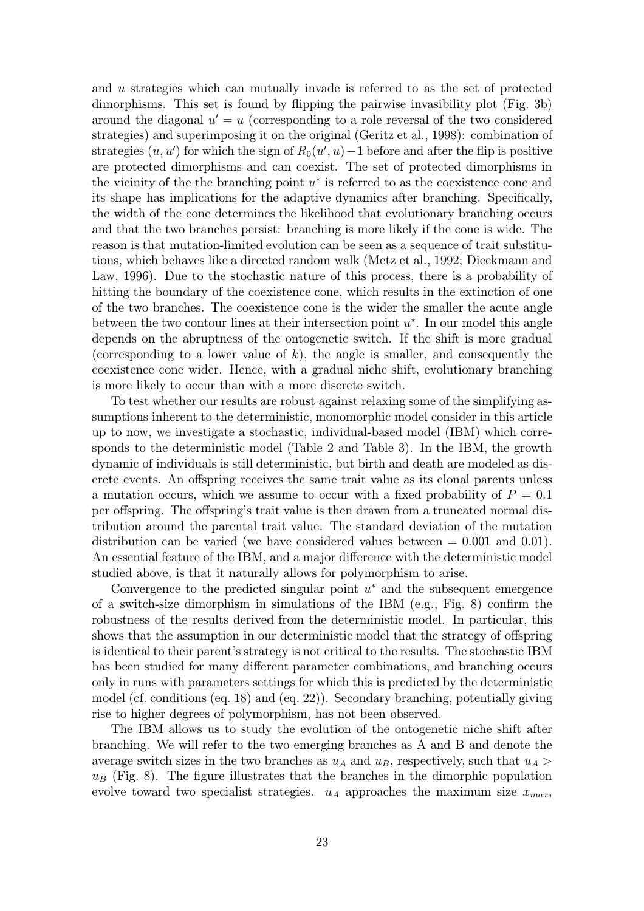and u strategies which can mutually invade is referred to as the set of protected dimorphisms. This set is found by flipping the pairwise invasibility plot (Fig. 3b) around the diagonal  $u' = u$  (corresponding to a role reversal of the two considered strategies) and superimposing it on the original (Geritz et al., 1998): combination of strategies  $(u, u')$  for which the sign of  $R_0(u', u) - 1$  before and after the flip is positive are protected dimorphisms and can coexist. The set of protected dimorphisms in the vicinity of the the branching point  $u^*$  is referred to as the coexistence cone and its shape has implications for the adaptive dynamics after branching. Specifically, the width of the cone determines the likelihood that evolutionary branching occurs and that the two branches persist: branching is more likely if the cone is wide. The reason is that mutation-limited evolution can be seen as a sequence of trait substitutions, which behaves like a directed random walk (Metz et al., 1992; Dieckmann and Law, 1996). Due to the stochastic nature of this process, there is a probability of hitting the boundary of the coexistence cone, which results in the extinction of one of the two branches. The coexistence cone is the wider the smaller the acute angle between the two contour lines at their intersection point  $u^*$ . In our model this angle depends on the abruptness of the ontogenetic switch. If the shift is more gradual (corresponding to a lower value of  $k$ ), the angle is smaller, and consequently the coexistence cone wider. Hence, with a gradual niche shift, evolutionary branching is more likely to occur than with a more discrete switch.

To test whether our results are robust against relaxing some of the simplifying assumptions inherent to the deterministic, monomorphic model consider in this article up to now, we investigate a stochastic, individual-based model (IBM) which corresponds to the deterministic model (Table 2 and Table 3). In the IBM, the growth dynamic of individuals is still deterministic, but birth and death are modeled as discrete events. An offspring receives the same trait value as its clonal parents unless a mutation occurs, which we assume to occur with a fixed probability of  $P = 0.1$ per offspring. The offspring's trait value is then drawn from a truncated normal distribution around the parental trait value. The standard deviation of the mutation distribution can be varied (we have considered values between  $= 0.001$  and  $(0.01)$ ). An essential feature of the IBM, and a major difference with the deterministic model studied above, is that it naturally allows for polymorphism to arise.

Convergence to the predicted singular point  $u^*$  and the subsequent emergence of a switch-size dimorphism in simulations of the IBM (e.g., Fig. 8) confirm the robustness of the results derived from the deterministic model. In particular, this shows that the assumption in our deterministic model that the strategy of offspring is identical to their parent's strategy is not critical to the results. The stochastic IBM has been studied for many different parameter combinations, and branching occurs only in runs with parameters settings for which this is predicted by the deterministic model (cf. conditions (eq. 18) and (eq. 22)). Secondary branching, potentially giving rise to higher degrees of polymorphism, has not been observed.

The IBM allows us to study the evolution of the ontogenetic niche shift after branching. We will refer to the two emerging branches as A and B and denote the average switch sizes in the two branches as  $u_A$  and  $u_B$ , respectively, such that  $u_A$  $u_B$  (Fig. 8). The figure illustrates that the branches in the dimorphic population evolve toward two specialist strategies.  $u_A$  approaches the maximum size  $x_{max}$ ,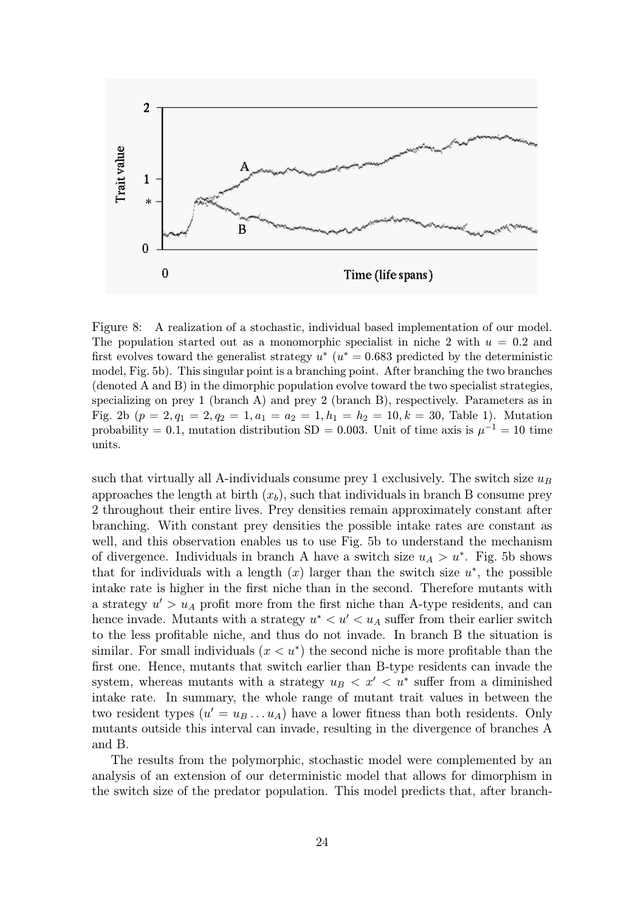

Figure 8: A realization of a stochastic, individual based implementation of our model. The population started out as a monomorphic specialist in niche 2 with  $u = 0.2$  and first evolves toward the generalist strategy  $u^*(u^* = 0.683$  predicted by the deterministic model, Fig. 5b). This singular point is a branching point. After branching the two branches  $(denoted A and B)$  in the dimorphic population evolve toward the two specialist strategies, specializing on prey  $1$  (branch A) and prey  $2$  (branch B), respectively. Parameters as in Fig. 2b  $(p = 2, q_1 = 2, q_2 = 1, a_1 = a_2 = 1, h_1 = h_2 = 10, k = 30,$  Table 1). Mutation probability = 0.1, mutation distribution SD = 0.003. Unit of time axis is  $\mu^{-1} = 10$  time units.

such that virtually all A-individuals consume prey 1 exclusively. The switch size  $u_B$ approaches the length at birth  $(x_b)$ , such that individuals in branch B consume prey 2 throughout their entire lives. Prey densities remain approximately constant after branching. With constant prey densities the possible intake rates are constant as well, and this observation enables us to use Fig. 5b to understand the mechanism of divergence. Individuals in branch A have a switch size  $u_A > u^*$ . Fig. 5b shows that for individuals with a length  $(x)$  larger than the switch size  $u^*$ , the possible intake rate is higher in the first niche than in the second. Therefore mutants with a strategy  $u' > u_A$  profit more from the first niche than A-type residents, and can hence invade. Mutants with a strategy  $u^* < u' < u_A$  suffer from their earlier switch to the less profitable niche, and thus do not invade. In branch B the situation is similar. For small individuals  $(x < u^*)$  the second niche is more profitable than the first one. Hence, mutants that switch earlier than B-type residents can invade the system, whereas mutants with a strategy  $u_B < x' < u^*$  suffer from a diminished intake rate. In summary, the whole range of mutant trait values in between the two resident types  $(u' = u_B \dots u_A)$  have a lower fitness than both residents. Only mutants outside this interval can invade, resulting in the divergence of branches A and B.

The results from the polymorphic, stochastic model were complemented by an analysis of an extension of our deterministic model that allows for dimorphism in the switch size of the predator population. This model predicts that, after branch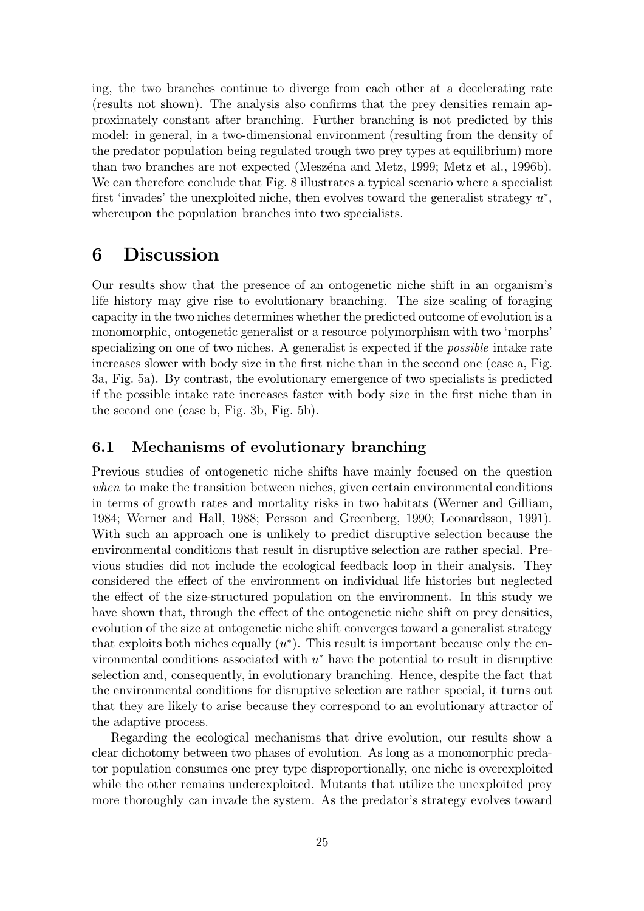ing, the two branches continue to diverge from each other at a decelerating rate (results not shown). The analysis also confirms that the prey densities remain approximately constant after branching. Further branching is not predicted by this model: in general, in a two-dimensional environment (resulting from the density of the predator population being regulated trough two prey types at equilibrium) more than two branches are not expected (Meszéna and Metz, 1999; Metz et al., 1996b). We can therefore conclude that Fig. 8 illustrates a typical scenario where a specialist first 'invades' the unexploited niche, then evolves toward the generalist strategy  $u^*$ , whereupon the population branches into two specialists.

# 6 Discussion

Our results show that the presence of an ontogenetic niche shift in an organism's life history may give rise to evolutionary branching. The size scaling of foraging capacity in the two niches determines whether the predicted outcome of evolution is a monomorphic, ontogenetic generalist or a resource polymorphism with two 'morphs' specializing on one of two niches. A generalist is expected if the possible intake rate increases slower with body size in the first niche than in the second one (case a, Fig. 3a, Fig. 5a). By contrast, the evolutionary emergence of two specialists is predicted if the possible intake rate increases faster with body size in the first niche than in the second one (case b, Fig. 3b, Fig. 5b).

#### 6.1 Mechanisms of evolutionary branching

Previous studies of ontogenetic niche shifts have mainly focused on the question when to make the transition between niches, given certain environmental conditions in terms of growth rates and mortality risks in two habitats (Werner and Gilliam, 1984; Werner and Hall, 1988; Persson and Greenberg, 1990; Leonardsson, 1991). With such an approach one is unlikely to predict disruptive selection because the environmental conditions that result in disruptive selection are rather special. Previous studies did not include the ecological feedback loop in their analysis. They considered the effect of the environment on individual life histories but neglected the effect of the size-structured population on the environment. In this study we have shown that, through the effect of the ontogenetic niche shift on prey densities, evolution of the size at ontogenetic niche shift converges toward a generalist strategy that exploits both niches equally  $(u^*)$ . This result is important because only the environmental conditions associated with  $u^*$  have the potential to result in disruptive selection and, consequently, in evolutionary branching. Hence, despite the fact that the environmental conditions for disruptive selection are rather special, it turns out that they are likely to arise because they correspond to an evolutionary attractor of the adaptive process.

Regarding the ecological mechanisms that drive evolution, our results show a clear dichotomy between two phases of evolution. As long as a monomorphic predator population consumes one prey type disproportionally, one niche is overexploited while the other remains underexploited. Mutants that utilize the unexploited prey more thoroughly can invade the system. As the predator's strategy evolves toward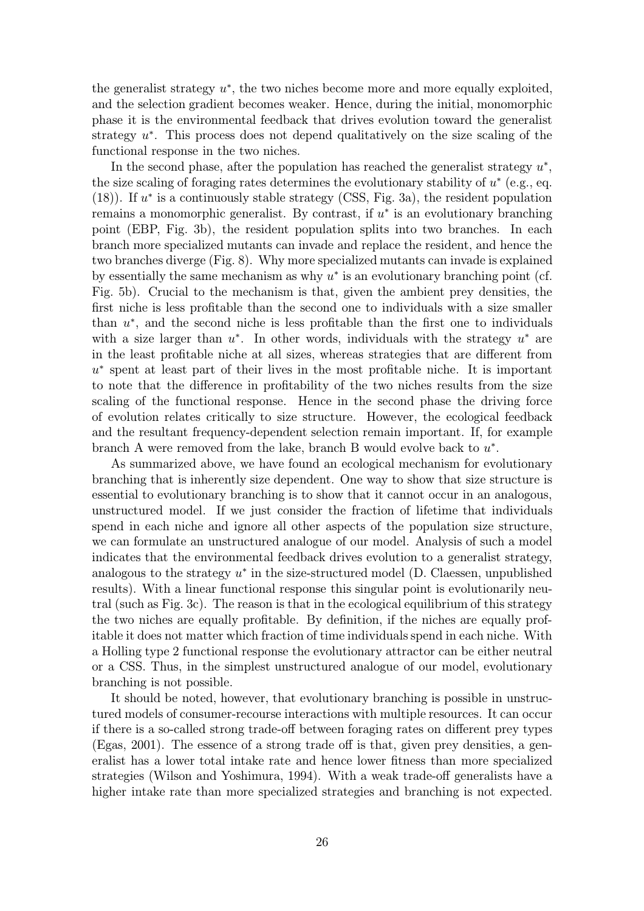the generalist strategy  $u^*$ , the two niches become more and more equally exploited, and the selection gradient becomes weaker. Hence, during the initial, monomorphic phase it is the environmental feedback that drives evolution toward the generalist strategy  $u^*$ . This process does not depend qualitatively on the size scaling of the functional response in the two niches.

In the second phase, after the population has reached the generalist strategy  $u^*$ , the size scaling of foraging rates determines the evolutionary stability of  $u^*$  (e.g., eq. (18)). If  $u^*$  is a continuously stable strategy (CSS, Fig. 3a), the resident population remains a monomorphic generalist. By contrast, if  $u^*$  is an evolutionary branching point (EBP, Fig. 3b), the resident population splits into two branches. In each branch more specialized mutants can invade and replace the resident, and hence the two branches diverge (Fig. 8). Why more specialized mutants can invade is explained by essentially the same mechanism as why  $u^*$  is an evolutionary branching point (cf. Fig. 5b). Crucial to the mechanism is that, given the ambient prey densities, the first niche is less profitable than the second one to individuals with a size smaller than  $u^*$ , and the second niche is less profitable than the first one to individuals with a size larger than  $u^*$ . In other words, individuals with the strategy  $u^*$  are in the least profitable niche at all sizes, whereas strategies that are different from  $u^*$  spent at least part of their lives in the most profitable niche. It is important to note that the difference in profitability of the two niches results from the size scaling of the functional response. Hence in the second phase the driving force of evolution relates critically to size structure. However, the ecological feedback and the resultant frequency-dependent selection remain important. If, for example branch A were removed from the lake, branch B would evolve back to  $u^*$ .

As summarized above, we have found an ecological mechanism for evolutionary branching that is inherently size dependent. One way to show that size structure is essential to evolutionary branching is to show that it cannot occur in an analogous, unstructured model. If we just consider the fraction of lifetime that individuals spend in each niche and ignore all other aspects of the population size structure, we can formulate an unstructured analogue of our model. Analysis of such a model indicates that the environmental feedback drives evolution to a generalist strategy, analogous to the strategy  $u^*$  in the size-structured model (D. Claessen, unpublished results). With a linear functional response this singular point is evolutionarily neutral (such as Fig. 3c). The reason is that in the ecological equilibrium of this strategy the two niches are equally profitable. By definition, if the niches are equally profitable it does not matter which fraction of time individuals spend in each niche. With a Holling type 2 functional response the evolutionary attractor can be either neutral or a CSS. Thus, in the simplest unstructured analogue of our model, evolutionary branching is not possible.

It should be noted, however, that evolutionary branching is possible in unstructured models of consumer-recourse interactions with multiple resources. It can occur if there is a so-called strong trade-off between foraging rates on different prey types (Egas, 2001). The essence of a strong trade off is that, given prey densities, a generalist has a lower total intake rate and hence lower fitness than more specialized strategies (Wilson and Yoshimura, 1994). With a weak trade-off generalists have a higher intake rate than more specialized strategies and branching is not expected.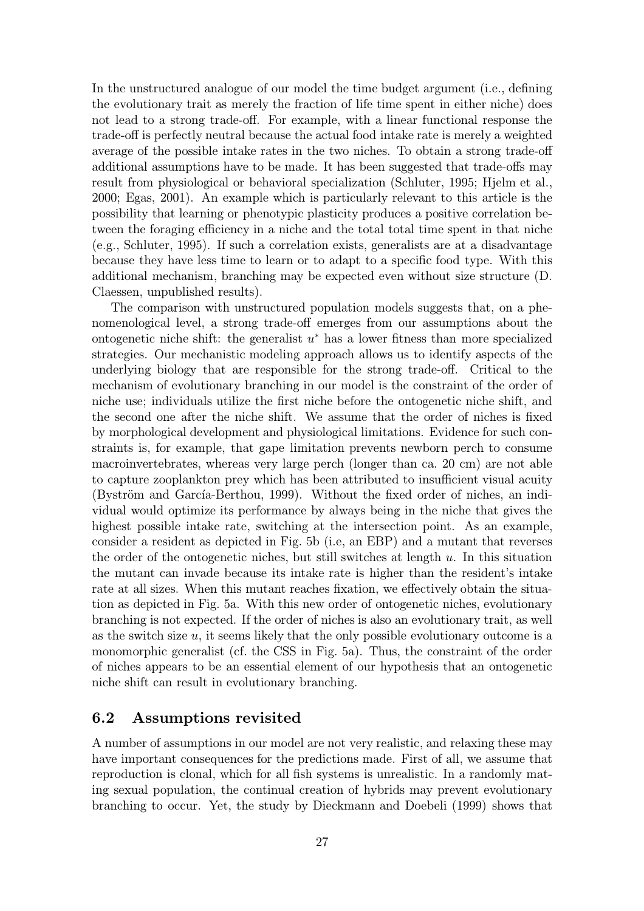In the unstructured analogue of our model the time budget argument (i.e., defining the evolutionary trait as merely the fraction of life time spent in either niche) does not lead to a strong trade-off. For example, with a linear functional response the trade-off is perfectly neutral because the actual food intake rate is merely a weighted average of the possible intake rates in the two niches. To obtain a strong trade-off additional assumptions have to be made. It has been suggested that trade-offs may result from physiological or behavioral specialization (Schluter, 1995; Hjelm et al., 2000; Egas, 2001). An example which is particularly relevant to this article is the possibility that learning or phenotypic plasticity produces a positive correlation between the foraging efficiency in a niche and the total total time spent in that niche (e.g., Schluter, 1995). If such a correlation exists, generalists are at a disadvantage because they have less time to learn or to adapt to a specific food type. With this additional mechanism, branching may be expected even without size structure (D. Claessen, unpublished results).

The comparison with unstructured population models suggests that, on a phenomenological level, a strong trade-off emerges from our assumptions about the ontogenetic niche shift: the generalist  $u^*$  has a lower fitness than more specialized strategies. Our mechanistic modeling approach allows us to identify aspects of the underlying biology that are responsible for the strong trade-off. Critical to the mechanism of evolutionary branching in our model is the constraint of the order of niche use; individuals utilize the first niche before the ontogenetic niche shift, and the second one after the niche shift. We assume that the order of niches is fixed by morphological development and physiological limitations. Evidence for such constraints is, for example, that gape limitation prevents newborn perch to consume macroinvertebrates, whereas very large perch (longer than ca. 20 cm) are not able to capture zooplankton prey which has been attributed to insufficient visual acuity (Byström and García-Berthou, 1999). Without the fixed order of niches, an individual would optimize its performance by always being in the niche that gives the highest possible intake rate, switching at the intersection point. As an example, consider a resident as depicted in Fig. 5b (i.e, an EBP) and a mutant that reverses the order of the ontogenetic niches, but still switches at length  $u$ . In this situation the mutant can invade because its intake rate is higher than the resident's intake rate at all sizes. When this mutant reaches fixation, we effectively obtain the situation as depicted in Fig. 5a. With this new order of ontogenetic niches, evolutionary branching is not expected. If the order of niches is also an evolutionary trait, as well as the switch size  $u$ , it seems likely that the only possible evolutionary outcome is a monomorphic generalist (cf. the CSS in Fig. 5a). Thus, the constraint of the order of niches appears to be an essential element of our hypothesis that an ontogenetic niche shift can result in evolutionary branching.

#### 6.2 Assumptions revisited

A number of assumptions in our model are not very realistic, and relaxing these may have important consequences for the predictions made. First of all, we assume that reproduction is clonal, which for all fish systems is unrealistic. In a randomly mating sexual population, the continual creation of hybrids may prevent evolutionary branching to occur. Yet, the study by Dieckmann and Doebeli (1999) shows that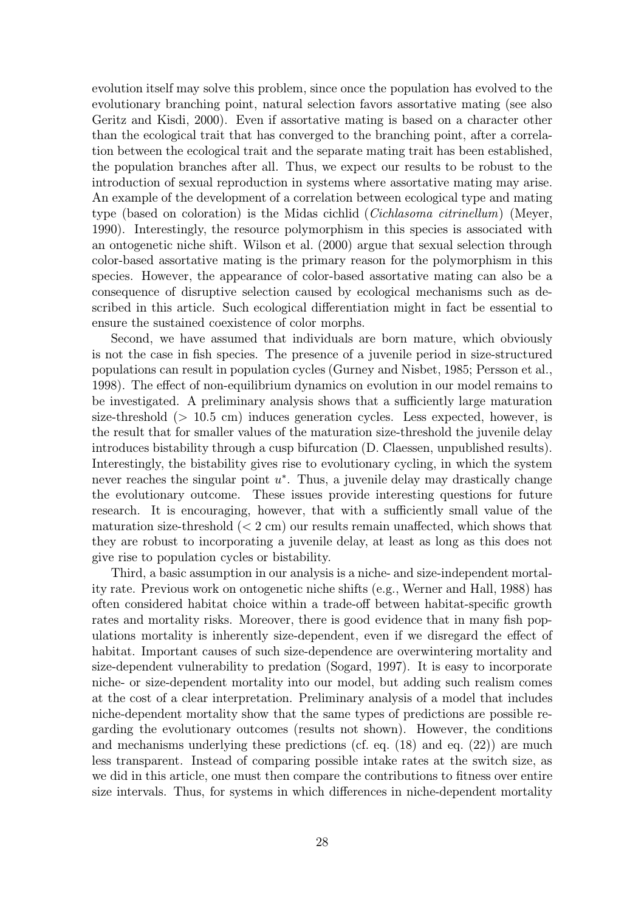evolution itself may solve this problem, since once the population has evolved to the evolutionary branching point, natural selection favors assortative mating (see also Geritz and Kisdi, 2000). Even if assortative mating is based on a character other than the ecological trait that has converged to the branching point, after a correlation between the ecological trait and the separate mating trait has been established, the population branches after all. Thus, we expect our results to be robust to the introduction of sexual reproduction in systems where assortative mating may arise. An example of the development of a correlation between ecological type and mating type (based on coloration) is the Midas cichlid (*Cichlasoma citrinellum*) (Meyer, 1990). Interestingly, the resource polymorphism in this species is associated with an ontogenetic niche shift. Wilson et al. (2000) argue that sexual selection through color-based assortative mating is the primary reason for the polymorphism in this species. However, the appearance of color-based assortative mating can also be a consequence of disruptive selection caused by ecological mechanisms such as described in this article. Such ecological differentiation might in fact be essential to ensure the sustained coexistence of color morphs.

Second, we have assumed that individuals are born mature, which obviously is not the case in fish species. The presence of a juvenile period in size-structured populations can result in population cycles (Gurney and Nisbet, 1985; Persson et al., 1998). The effect of non-equilibrium dynamics on evolution in our model remains to be investigated. A preliminary analysis shows that a sufficiently large maturation size-threshold (> 10.5 cm) induces generation cycles. Less expected, however, is the result that for smaller values of the maturation size-threshold the juvenile delay introduces bistability through a cusp bifurcation (D. Claessen, unpublished results). Interestingly, the bistability gives rise to evolutionary cycling, in which the system never reaches the singular point  $u^*$ . Thus, a juvenile delay may drastically change the evolutionary outcome. These issues provide interesting questions for future research. It is encouraging, however, that with a sufficiently small value of the maturation size-threshold  $(< 2 \text{ cm})$  our results remain unaffected, which shows that they are robust to incorporating a juvenile delay, at least as long as this does not give rise to population cycles or bistability.

Third, a basic assumption in our analysis is a niche- and size-independent mortality rate. Previous work on ontogenetic niche shifts (e.g., Werner and Hall, 1988) has often considered habitat choice within a trade-off between habitat-specific growth rates and mortality risks. Moreover, there is good evidence that in many fish populations mortality is inherently size-dependent, even if we disregard the effect of habitat. Important causes of such size-dependence are overwintering mortality and size-dependent vulnerability to predation (Sogard, 1997). It is easy to incorporate niche- or size-dependent mortality into our model, but adding such realism comes at the cost of a clear interpretation. Preliminary analysis of a model that includes niche-dependent mortality show that the same types of predictions are possible regarding the evolutionary outcomes (results not shown). However, the conditions and mechanisms underlying these predictions (cf. eq. (18) and eq. (22)) are much less transparent. Instead of comparing possible intake rates at the switch size, as we did in this article, one must then compare the contributions to fitness over entire size intervals. Thus, for systems in which differences in niche-dependent mortality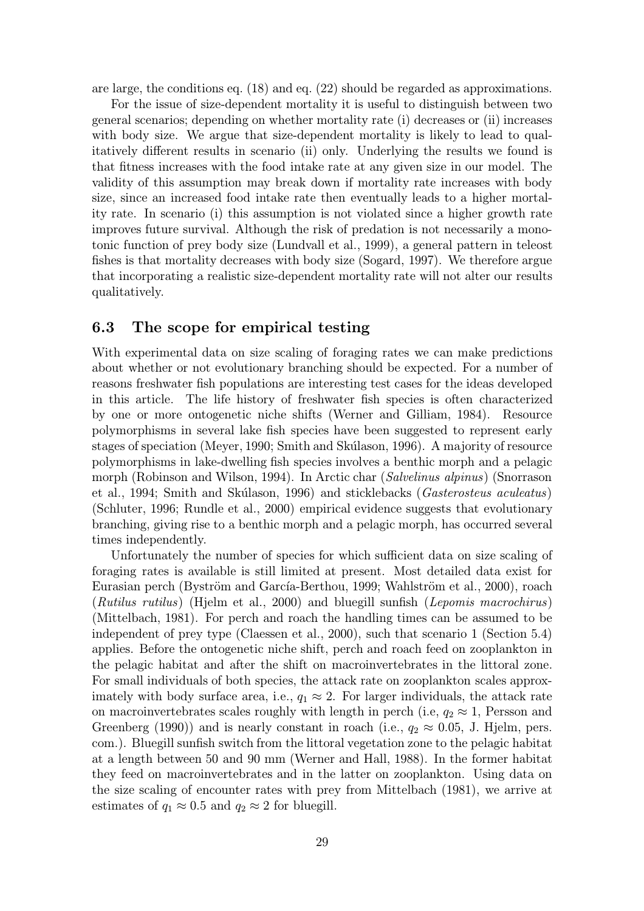are large, the conditions eq. (18) and eq. (22) should be regarded as approximations.

For the issue of size-dependent mortality it is useful to distinguish between two general scenarios; depending on whether mortality rate (i) decreases or (ii) increases with body size. We argue that size-dependent mortality is likely to lead to qualitatively different results in scenario (ii) only. Underlying the results we found is that fitness increases with the food intake rate at any given size in our model. The validity of this assumption may break down if mortality rate increases with body size, since an increased food intake rate then eventually leads to a higher mortality rate. In scenario (i) this assumption is not violated since a higher growth rate improves future survival. Although the risk of predation is not necessarily a monotonic function of prey body size (Lundvall et al., 1999), a general pattern in teleost fishes is that mortality decreases with body size (Sogard, 1997). We therefore argue that incorporating a realistic size-dependent mortality rate will not alter our results qualitatively.

#### 6.3 The scope for empirical testing

With experimental data on size scaling of foraging rates we can make predictions about whether or not evolutionary branching should be expected. For a number of reasons freshwater fish populations are interesting test cases for the ideas developed in this article. The life history of freshwater fish species is often characterized by one or more ontogenetic niche shifts (Werner and Gilliam, 1984). Resource polymorphisms in several lake fish species have been suggested to represent early stages of speciation (Meyer, 1990; Smith and Skúlason, 1996). A majority of resource polymorphisms in lake-dwelling fish species involves a benthic morph and a pelagic morph (Robinson and Wilson, 1994). In Arctic char (Salvelinus alpinus) (Snorrason et al., 1994; Smith and Skúlason, 1996) and sticklebacks (Gasterosteus aculeatus) (Schluter, 1996; Rundle et al., 2000) empirical evidence suggests that evolutionary branching, giving rise to a benthic morph and a pelagic morph, has occurred several times independently.

Unfortunately the number of species for which sufficient data on size scaling of foraging rates is available is still limited at present. Most detailed data exist for Eurasian perch (Byström and García-Berthou, 1999; Wahlström et al., 2000), roach (Rutilus rutilus) (Hjelm et al., 2000) and bluegill sunfish (Lepomis macrochirus) (Mittelbach, 1981). For perch and roach the handling times can be assumed to be independent of prey type (Claessen et al., 2000), such that scenario 1 (Section 5.4) applies. Before the ontogenetic niche shift, perch and roach feed on zooplankton in the pelagic habitat and after the shift on macroinvertebrates in the littoral zone. For small individuals of both species, the attack rate on zooplankton scales approximately with body surface area, i.e.,  $q_1 \approx 2$ . For larger individuals, the attack rate on macroinvertebrates scales roughly with length in perch (i.e,  $q_2 \approx 1$ , Persson and Greenberg (1990)) and is nearly constant in roach (i.e.,  $q_2 \approx 0.05$ , J. Hjelm, pers. com.). Bluegill sunfish switch from the littoral vegetation zone to the pelagic habitat at a length between 50 and 90 mm (Werner and Hall, 1988). In the former habitat they feed on macroinvertebrates and in the latter on zooplankton. Using data on the size scaling of encounter rates with prey from Mittelbach (1981), we arrive at estimates of  $q_1 \approx 0.5$  and  $q_2 \approx 2$  for bluegill.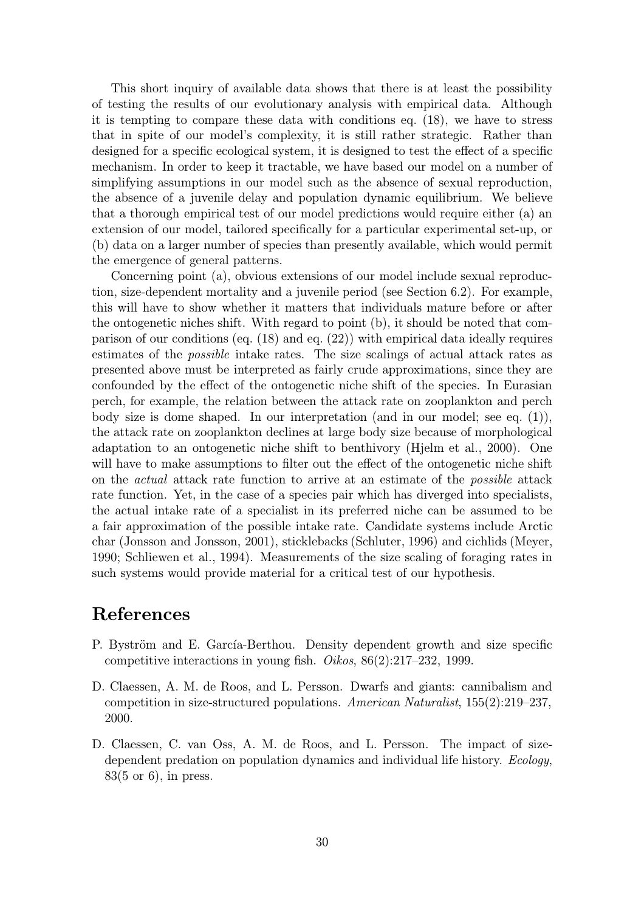This short inquiry of available data shows that there is at least the possibility of testing the results of our evolutionary analysis with empirical data. Although it is tempting to compare these data with conditions eq. (18), we have to stress that in spite of our model's complexity, it is still rather strategic. Rather than designed for a specific ecological system, it is designed to test the effect of a specific mechanism. In order to keep it tractable, we have based our model on a number of simplifying assumptions in our model such as the absence of sexual reproduction, the absence of a juvenile delay and population dynamic equilibrium. We believe that a thorough empirical test of our model predictions would require either (a) an extension of our model, tailored specifically for a particular experimental set-up, or (b) data on a larger number of species than presently available, which would permit the emergence of general patterns.

Concerning point (a), obvious extensions of our model include sexual reproduction, size-dependent mortality and a juvenile period (see Section 6.2). For example, this will have to show whether it matters that individuals mature before or after the ontogenetic niches shift. With regard to point (b), it should be noted that comparison of our conditions (eq. (18) and eq. (22)) with empirical data ideally requires estimates of the possible intake rates. The size scalings of actual attack rates as presented above must be interpreted as fairly crude approximations, since they are confounded by the effect of the ontogenetic niche shift of the species. In Eurasian perch, for example, the relation between the attack rate on zooplankton and perch body size is dome shaped. In our interpretation (and in our model; see eq. (1)), the attack rate on zooplankton declines at large body size because of morphological adaptation to an ontogenetic niche shift to benthivory (Hjelm et al., 2000). One will have to make assumptions to filter out the effect of the ontogenetic niche shift on the actual attack rate function to arrive at an estimate of the possible attack rate function. Yet, in the case of a species pair which has diverged into specialists, the actual intake rate of a specialist in its preferred niche can be assumed to be a fair approximation of the possible intake rate. Candidate systems include Arctic char (Jonsson and Jonsson, 2001), sticklebacks (Schluter, 1996) and cichlids (Meyer, 1990; Schliewen et al., 1994). Measurements of the size scaling of foraging rates in such systems would provide material for a critical test of our hypothesis.

# References

- P. Byström and E. García-Berthou. Density dependent growth and size specific competitive interactions in young fish. Oikos, 86(2):217–232, 1999.
- D. Claessen, A. M. de Roos, and L. Persson. Dwarfs and giants: cannibalism and competition in size-structured populations. American Naturalist, 155(2):219–237, 2000.
- D. Claessen, C. van Oss, A. M. de Roos, and L. Persson. The impact of sizedependent predation on population dynamics and individual life history. Ecology, 83(5 or 6), in press.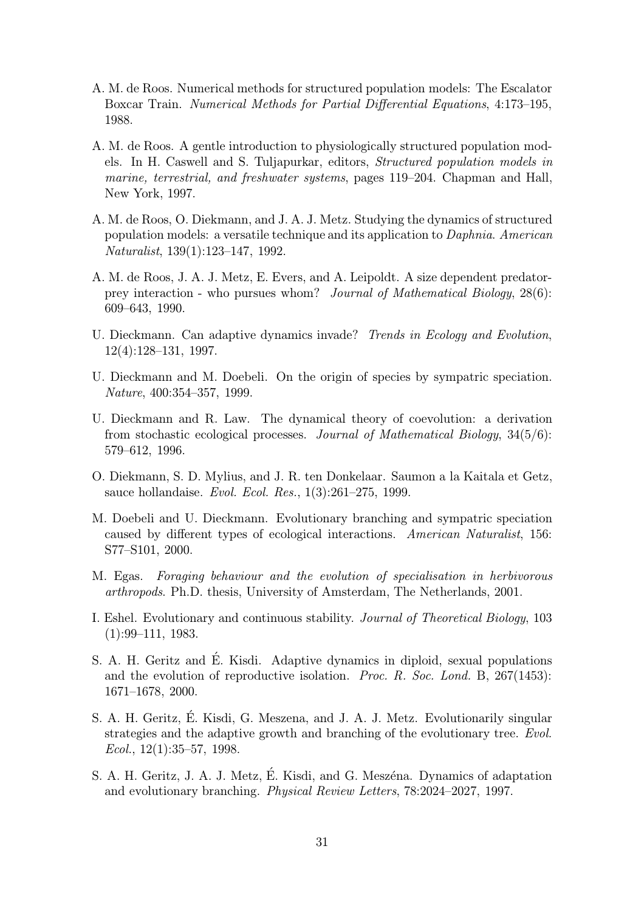- A. M. de Roos. Numerical methods for structured population models: The Escalator Boxcar Train. Numerical Methods for Partial Differential Equations, 4:173–195, 1988.
- A. M. de Roos. A gentle introduction to physiologically structured population models. In H. Caswell and S. Tuljapurkar, editors, Structured population models in marine, terrestrial, and freshwater systems, pages 119–204. Chapman and Hall, New York, 1997.
- A. M. de Roos, O. Diekmann, and J. A. J. Metz. Studying the dynamics of structured population models: a versatile technique and its application to Daphnia. American Naturalist, 139(1):123–147, 1992.
- A. M. de Roos, J. A. J. Metz, E. Evers, and A. Leipoldt. A size dependent predatorprey interaction - who pursues whom? Journal of Mathematical Biology, 28(6): 609–643, 1990.
- U. Dieckmann. Can adaptive dynamics invade? Trends in Ecology and Evolution, 12(4):128–131, 1997.
- U. Dieckmann and M. Doebeli. On the origin of species by sympatric speciation. Nature, 400:354–357, 1999.
- U. Dieckmann and R. Law. The dynamical theory of coevolution: a derivation from stochastic ecological processes. Journal of Mathematical Biology, 34(5/6): 579–612, 1996.
- O. Diekmann, S. D. Mylius, and J. R. ten Donkelaar. Saumon a la Kaitala et Getz, sauce hollandaise. Evol. Ecol. Res., 1(3):261–275, 1999.
- M. Doebeli and U. Dieckmann. Evolutionary branching and sympatric speciation caused by different types of ecological interactions. American Naturalist, 156: S77–S101, 2000.
- M. Egas. Foraging behaviour and the evolution of specialisation in herbivorous arthropods. Ph.D. thesis, University of Amsterdam, The Netherlands, 2001.
- I. Eshel. Evolutionary and continuous stability. Journal of Theoretical Biology, 103 (1):99–111, 1983.
- S. A. H. Geritz and É. Kisdi. Adaptive dynamics in diploid, sexual populations and the evolution of reproductive isolation. *Proc. R. Soc. Lond.* B,  $267(1453)$ : 1671–1678, 2000.
- S. A. H. Geritz, E. Kisdi, G. Meszena, and J. A. J. Metz. Evolutionarily singular ´ strategies and the adaptive growth and branching of the evolutionary tree. Evol. Ecol.,  $12(1):35-57$ , 1998.
- S. A. H. Geritz, J. A. J. Metz, E. Kisdi, and G. Meszéna. Dynamics of adaptation and evolutionary branching. Physical Review Letters, 78:2024–2027, 1997.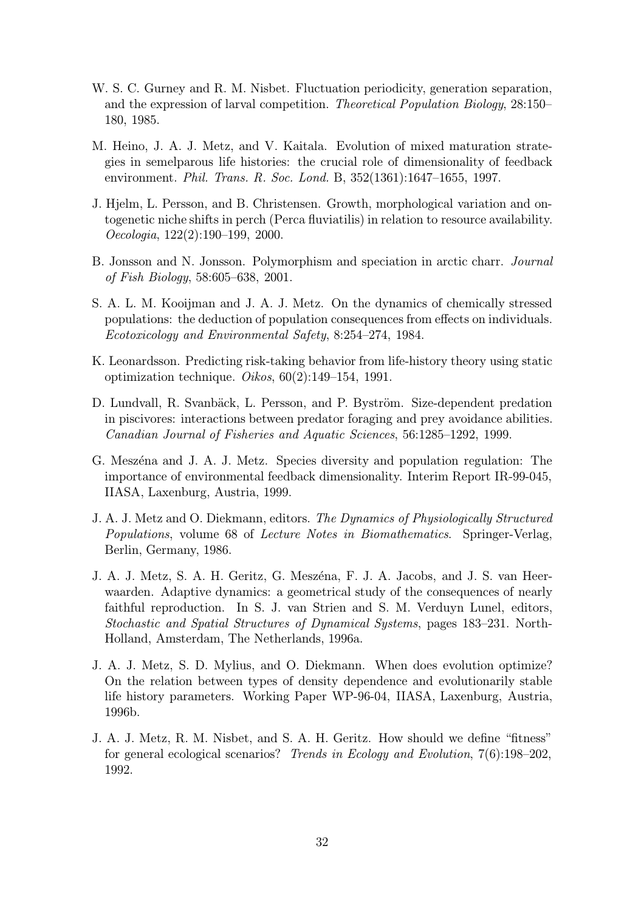- W. S. C. Gurney and R. M. Nisbet. Fluctuation periodicity, generation separation, and the expression of larval competition. Theoretical Population Biology, 28:150– 180, 1985.
- M. Heino, J. A. J. Metz, and V. Kaitala. Evolution of mixed maturation strategies in semelparous life histories: the crucial role of dimensionality of feedback environment. *Phil. Trans. R. Soc. Lond.* B, 352(1361):1647–1655, 1997.
- J. Hjelm, L. Persson, and B. Christensen. Growth, morphological variation and ontogenetic niche shifts in perch (Perca fluviatilis) in relation to resource availability. Oecologia, 122(2):190–199, 2000.
- B. Jonsson and N. Jonsson. Polymorphism and speciation in arctic charr. Journal of Fish Biology, 58:605–638, 2001.
- S. A. L. M. Kooijman and J. A. J. Metz. On the dynamics of chemically stressed populations: the deduction of population consequences from effects on individuals. Ecotoxicology and Environmental Safety, 8:254–274, 1984.
- K. Leonardsson. Predicting risk-taking behavior from life-history theory using static optimization technique.  $Oikos$ ,  $60(2):149-154$ , 1991.
- D. Lundvall, R. Svanbäck, L. Persson, and P. Byström. Size-dependent predation in piscivores: interactions between predator foraging and prey avoidance abilities. Canadian Journal of Fisheries and Aquatic Sciences, 56:1285–1292, 1999.
- G. Meszéna and J. A. J. Metz. Species diversity and population regulation: The importance of environmental feedback dimensionality. Interim Report IR-99-045, IIASA, Laxenburg, Austria, 1999.
- J. A. J. Metz and O. Diekmann, editors. The Dynamics of Physiologically Structured Populations, volume 68 of Lecture Notes in Biomathematics. Springer-Verlag, Berlin, Germany, 1986.
- J. A. J. Metz, S. A. H. Geritz, G. Meszéna, F. J. A. Jacobs, and J. S. van Heerwaarden. Adaptive dynamics: a geometrical study of the consequences of nearly faithful reproduction. In S. J. van Strien and S. M. Verduyn Lunel, editors, Stochastic and Spatial Structures of Dynamical Systems, pages 183–231. North-Holland, Amsterdam, The Netherlands, 1996a.
- J. A. J. Metz, S. D. Mylius, and O. Diekmann. When does evolution optimize? On the relation between types of density dependence and evolutionarily stable life history parameters. Working Paper WP-96-04, IIASA, Laxenburg, Austria, 1996b.
- J. A. J. Metz, R. M. Nisbet, and S. A. H. Geritz. How should we define "fitness" for general ecological scenarios? Trends in Ecology and Evolution, 7(6):198–202, 1992.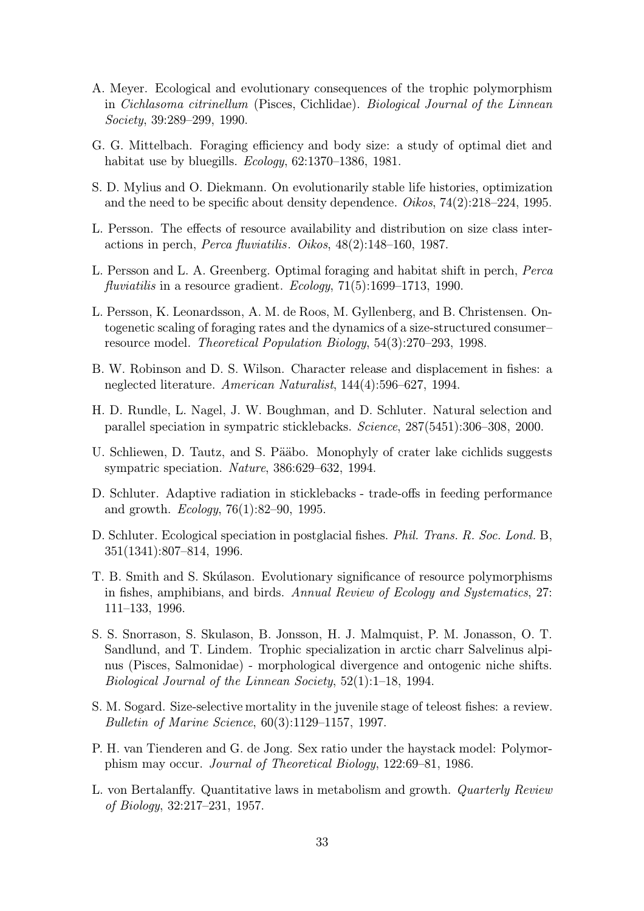- A. Meyer. Ecological and evolutionary consequences of the trophic polymorphism in Cichlasoma citrinellum (Pisces, Cichlidae). Biological Journal of the Linnean Society, 39:289–299, 1990.
- G. G. Mittelbach. Foraging efficiency and body size: a study of optimal diet and habitat use by bluegills. *Ecology*, 62:1370–1386, 1981.
- S. D. Mylius and O. Diekmann. On evolutionarily stable life histories, optimization and the need to be specific about density dependence. *Oikos*,  $74(2):218-224$ , 1995.
- L. Persson. The effects of resource availability and distribution on size class interactions in perch, Perca fluviatilis. Oikos, 48(2):148–160, 1987.
- L. Persson and L. A. Greenberg. Optimal foraging and habitat shift in perch, Perca fluviatilis in a resource gradient. *Ecology*, 71(5):1699–1713, 1990.
- L. Persson, K. Leonardsson, A. M. de Roos, M. Gyllenberg, and B. Christensen. Ontogenetic scaling of foraging rates and the dynamics of a size-structured consumer– resource model. Theoretical Population Biology, 54(3):270–293, 1998.
- B. W. Robinson and D. S. Wilson. Character release and displacement in fishes: a neglected literature. American Naturalist, 144(4):596–627, 1994.
- H. D. Rundle, L. Nagel, J. W. Boughman, and D. Schluter. Natural selection and parallel speciation in sympatric sticklebacks. Science, 287(5451):306–308, 2000.
- U. Schliewen, D. Tautz, and S. Pääbo. Monophyly of crater lake cichlids suggests sympatric speciation. Nature, 386:629–632, 1994.
- D. Schluter. Adaptive radiation in sticklebacks trade-offs in feeding performance and growth.  $Ecology, 76(1):82-90, 1995.$
- D. Schluter. Ecological speciation in postglacial fishes. Phil. Trans. R. Soc. Lond. B, 351(1341):807–814, 1996.
- T. B. Smith and S. Skúlason. Evolutionary significance of resource polymorphisms in fishes, amphibians, and birds. Annual Review of Ecology and Systematics, 27: 111–133, 1996.
- S. S. Snorrason, S. Skulason, B. Jonsson, H. J. Malmquist, P. M. Jonasson, O. T. Sandlund, and T. Lindem. Trophic specialization in arctic charr Salvelinus alpinus (Pisces, Salmonidae) - morphological divergence and ontogenic niche shifts. Biological Journal of the Linnean Society, 52(1):1–18, 1994.
- S. M. Sogard. Size-selective mortality in the juvenile stage of teleost fishes: a review. Bulletin of Marine Science, 60(3):1129–1157, 1997.
- P. H. van Tienderen and G. de Jong. Sex ratio under the haystack model: Polymorphism may occur. Journal of Theoretical Biology, 122:69–81, 1986.
- L. von Bertalanffy. Quantitative laws in metabolism and growth. Quarterly Review of Biology, 32:217–231, 1957.